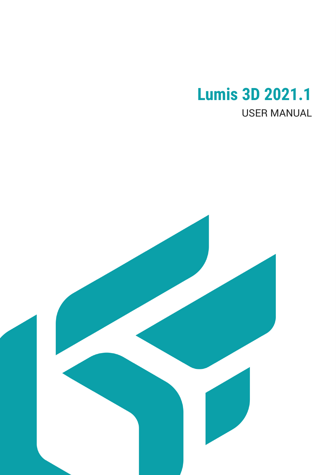# **Lumis 3D 2021.1** USER MANUAL

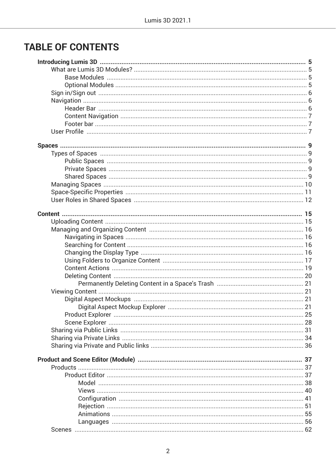## **TABLE OF CONTENTS**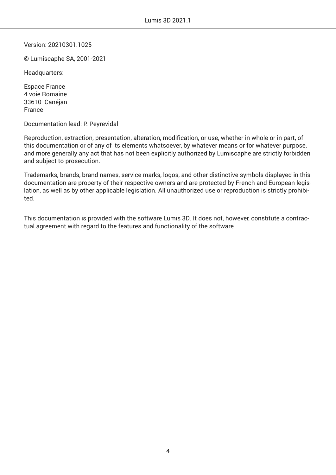Version: 20210301.1025

© Lumiscaphe SA, 2001-2021

Headquarters:

Espace France 4 voie Romaine 33610 Canéjan France

Documentation lead: P. Peyrevidal

Reproduction, extraction, presentation, alteration, modification, or use, whether in whole or in part, of this documentation or of any of its elements whatsoever, by whatever means or for whatever purpose, and more generally any act that has not been explicitly authorized by Lumiscaphe are strictly forbidden and subject to prosecution.

Trademarks, brands, brand names, service marks, logos, and other distinctive symbols displayed in this documentation are property of their respective owners and are protected by French and European legislation, as well as by other applicable legislation. All unauthorized use or reproduction is strictly prohibited.

This documentation is provided with the software Lumis 3D. It does not, however, constitute a contractual agreement with regard to the features and functionality of the software.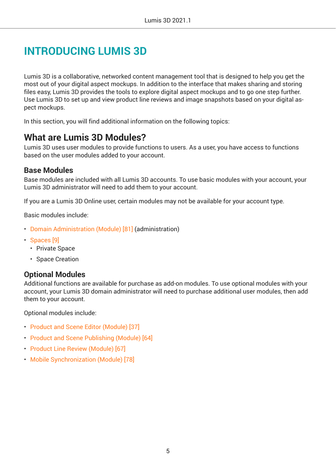## <span id="page-4-0"></span>**INTRODUCING LUMIS 3D**

Lumis 3D is a collaborative, networked content management tool that is designed to help you get the most out of your digital aspect mockups. In addition to the interface that makes sharing and storing files easy, Lumis 3D provides the tools to explore digital aspect mockups and to go one step further. Use Lumis 3D to set up and view product line reviews and image snapshots based on your digital aspect mockups.

In this section, you will find additional information on the following topics:

## **What are Lumis 3D Modules?**

Lumis 3D uses user modules to provide functions to users. As a user, you have access to functions based on the user modules added to your account.

#### **Base Modules**

Base modules are included with all Lumis 3D accounts. To use basic modules with your account, your Lumis 3D administrator will need to add them to your account.

If you are a Lumis 3D Online user, certain modules may not be available for your account type.

Basic modules include:

- [Domain Administration \(Module\) \[81\]](#page-80-0) (administration)
- [Spaces \[9\]](#page-8-0)
	- Private Space
	- Space Creation

#### **Optional Modules**

Additional functions are available for purchase as add-on modules. To use optional modules with your account, your Lumis 3D domain administrator will need to purchase additional user modules, then add them to your account.

Optional modules include:

- [Product and Scene Editor \(Module\) \[37\]](#page-36-0)
- [Product and Scene Publishing \(Module\) \[64\]](#page-63-0)
- [Product Line Review \(Module\) \[67\]](#page-66-0)
- [Mobile Synchronization \(Module\) \[78\]](#page-77-0)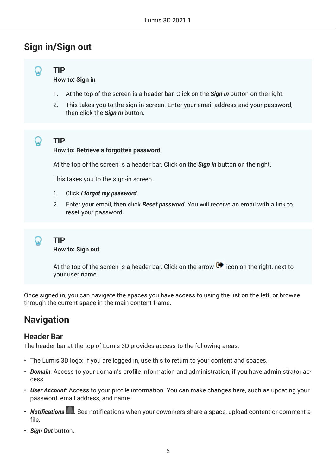## <span id="page-5-0"></span>**Sign in/Sign out**



**How to: Sign in**

- 1. At the top of the screen is a header bar. Click on the *Sign In* button on the right.
- 2. This takes you to the sign-in screen. Enter your email address and your password, then click the *Sign In* button.



## **TIP**

#### **How to: Retrieve a forgotten password**

At the top of the screen is a header bar. Click on the *Sign In* button on the right.

This takes you to the sign-in screen.

- 1. Click *I forgot my password*.
- 2. Enter your email, then click *Reset password*. You will receive an email with a link to reset your password.

**TIP How to: Sign out**

> At the top of the screen is a header bar. Click on the arrow  $\blacksquare$  icon on the right, next to your user name.

Once signed in, you can navigate the spaces you have access to using the list on the left, or browse through the current space in the main content frame.

## **Navigation**

#### **Header Bar**

The header bar at the top of Lumis 3D provides access to the following areas:

- The Lumis 3D logo: If you are logged in, use this to return to your content and spaces.
- *Domain*: Access to your domain's profile information and administration, if you have administrator access.
- *User Account*: Access to your profile information. You can make changes here, such as updating your password, email address, and name.
- *Notifications* . See notifications when your coworkers share a space, upload content or comment a file.
- *Sign Out* button.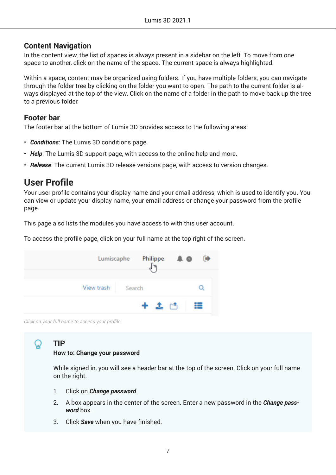#### <span id="page-6-0"></span>**Content Navigation**

In the content view, the list of spaces is always present in a sidebar on the left. To move from one space to another, click on the name of the space. The current space is always highlighted.

Within a space, content may be organized using folders. If you have multiple folders, you can navigate through the folder tree by clicking on the folder you want to open. The path to the current folder is always displayed at the top of the view. Click on the name of a folder in the path to move back up the tree to a previous folder.

#### **Footer bar**

The footer bar at the bottom of Lumis 3D provides access to the following areas:

- *Conditions*: The Lumis 3D conditions page.
- *Help*: The Lumis 3D support page, with access to the online help and more.
- *Release*: The current Lumis 3D release versions page, with access to version changes.

## **User Profile**

Your user profile contains your display name and your email address, which is used to identify you. You can view or update your display name, your email address or change your password from the profile page.

This page also lists the modules you have access to with this user account.

To access the profile page, click on your full name at the top right of the screen.



*Click on your full name to access your proƒle*

### **TIP**

**How to: Change your password**

While signed in, you will see a header bar at the top of the screen. Click on your full name on the right.

- 1. Click on *Change password*.
- 2. A box appears in the center of the screen. Enter a new password in the *Change password* box.
- 3. Click *Save* when you have finished.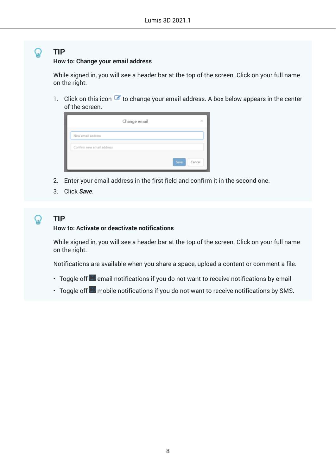#### **How to: Change your email address**

While signed in, you will see a header bar at the top of the screen. Click on your full name on the right.

1. Click on this icon  $\leq t$  to change your email address. A box below appears in the center of the screen.

|                           | Change email<br>× |
|---------------------------|-------------------|
| New email address         |                   |
| Confirm new email address |                   |
|                           | Save<br>Cancel    |

- 2. Enter your email address in the first field and confirm it in the second one.
- 3. Click *Save*.

## **TIP**

#### **How to: Activate or deactivate notifications**

While signed in, you will see a header bar at the top of the screen. Click on your full name on the right.

Notifications are available when you share a space, upload a content or comment a file.

- Toggle off  $\bullet$  email notifications if you do not want to receive notifications by email.
- Toggle off  $\Box$  mobile notifications if you do not want to receive notifications by SMS.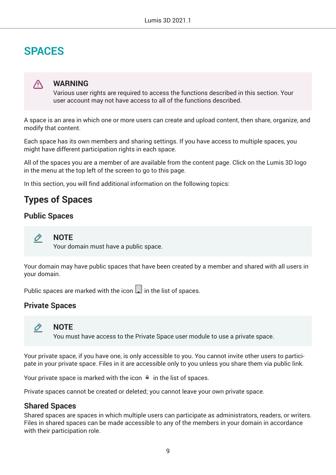## <span id="page-8-0"></span>**SPACES**

### ∧

#### **WARNING**

Various user rights are required to access the functions described in this section. Your user account may not have access to all of the functions described.

A space is an area in which one or more users can create and upload content, then share, organize, and modify that content.

Each space has its own members and sharing settings. If you have access to multiple spaces, you might have different participation rights in each space.

All of the spaces you are a member of are available from the content page. Click on the Lumis 3D logo in the menu at the top left of the screen to go to this page.

In this section, you will find additional information on the following topics:

## **Types of Spaces**

#### **Public Spaces**



Your domain must have a public space.

Your domain may have public spaces that have been created by a member and shared with all users in your domain.

Public spaces are marked with the icon  $\mathbb{F}$  in the list of spaces.

#### **Private Spaces**



#### **NOTE**

You must have access to the Private Space user module to use a private space.

Your private space, if you have one, is only accessible to you. You cannot invite other users to participate in your private space. Files in it are accessible only to you unless you share them via public link.

Your private space is marked with the icon  $\blacksquare$  in the list of spaces.

Private spaces cannot be created or deleted; you cannot leave your own private space.

#### **Shared Spaces**

Shared spaces are spaces in which multiple users can participate as administrators, readers, or writers. Files in shared spaces can be made accessible to any of the members in your domain in accordance with their participation role.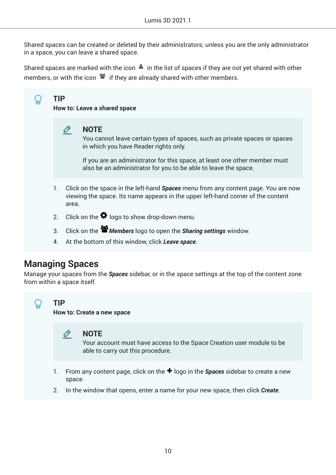<span id="page-9-0"></span>Shared spaces can be created or deleted by their administrators; unless you are the only administrator in a space, you can leave a shared space.

Shared spaces are marked with the icon  $\blacksquare$  in the list of spaces if they are not yet shared with other members, or with the icon  $\bullet$  if they are already shared with other members.

## **TIP**

**How to: Leave a shared space**



You cannot leave certain types of spaces, such as private spaces or spaces in which you have Reader rights only.

If you are an administrator for this space, at least one other member must also be an administrator for you to be able to leave the space.

- 1. Click on the space in the left-hand *Spaces* menu from any content page. You are now viewing the space. Its name appears in the upper left-hand corner of the content area.
- 2. Click on the  $\clubsuit$  logo to show drop-down menu.
- 3. Click on the *Members* logo to open the *Sharing settings* window.
- 4. At the bottom of this window, click *Leave space*.

## **Managing Spaces**

Manage your spaces from the *Spaces* sidebar, or in the space settings at the top of the content zone from within a space itself.



#### **TIP**

**How to: Create a new space**



#### **NOTE**

Your account must have access to the Space Creation user module to be able to carry out this procedure.

- 1. From any content page, click on the **+** logo in the **Spaces** sidebar to create a new space.
- 2. In the window that opens, enter a name for your new space, then click *Create*.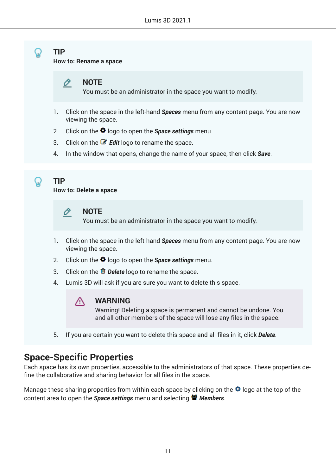<span id="page-10-0"></span>**How to: Rename a space**

Ò **NOTE**

You must be an administrator in the space you want to modify.

- 1. Click on the space in the left-hand *Spaces* menu from any content page. You are now viewing the space.
- 2. Click on the <sup>₺</sup> logo to open the *Space settings* menu.
- 3. Click on the *Edit* logo to rename the space.
- 4. In the window that opens, change the name of your space, then click *Save*.



**TIP**

**How to: Delete a space**



**NOTE**

You must be an administrator in the space you want to modify.

- 1. Click on the space in the left-hand *Spaces* menu from any content page. You are now viewing the space.
- 2. Click on the **✿** logo to open the *Space settings* menu.
- 3. Click on the *Delete* logo to rename the space.
- 4. Lumis 3D will ask if you are sure you want to delete this space.



#### **WARNING**

Warning! Deleting a space is permanent and cannot be undone. You and all other members of the space will lose any files in the space.

5. If you are certain you want to delete this space and all files in it, click *Delete*.

## **Space-Specific Properties**

Each space has its own properties, accessible to the administrators of that space. These properties define the collaborative and sharing behavior for all files in the space.

Manage these sharing properties from within each space by clicking on the  $\clubsuit$  logo at the top of the content area to open the *Space settings* menu and selecting *Members*.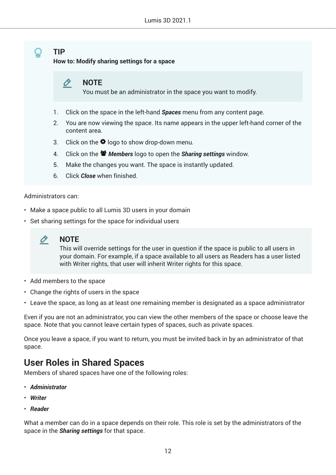<span id="page-11-0"></span>**How to: Modify sharing settings for a space**

#### 0 **NOTE**

You must be an administrator in the space you want to modify.

- 1. Click on the space in the left-hand *Spaces* menu from any content page.
- 2. You are now viewing the space. Its name appears in the upper left-hand corner of the content area.
- 3. Click on the  $\clubsuit$  logo to show drop-down menu.
- 4. Click on the *Members* logo to open the *Sharing settings* window.
- 5. Make the changes you want. The space is instantly updated.
- 6. Click *Close* when finished.

#### Administrators can:

- Make a space public to all Lumis 3D users in your domain
- Set sharing settings for the space for individual users



#### **NOTE**

This will override settings for the user in question if the space is public to all users in your domain. For example, if a space available to all users as Readers has a user listed with Writer rights, that user will inherit Writer rights for this space.

- Add members to the space
- Change the rights of users in the space
- Leave the space, as long as at least one remaining member is designated as a space administrator

Even if you are not an administrator, you can view the other members of the space or choose leave the space. Note that you cannot leave certain types of spaces, such as private spaces.

Once you leave a space, if you want to return, you must be invited back in by an administrator of that space.

## **User Roles in Shared Spaces**

Members of shared spaces have one of the following roles:

- *Administrator*
- *Writer*
- *Reader*

What a member can do in a space depends on their role. This role is set by the administrators of the space in the *Sharing settings* for that space.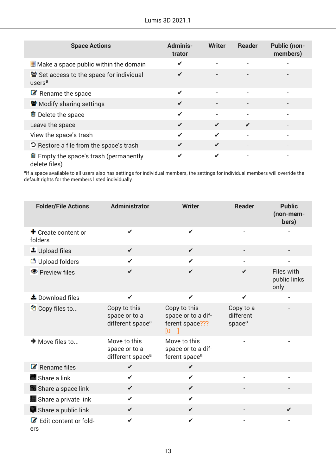| <b>Space Actions</b>                                                 | <b>Adminis-</b><br>trator | <b>Writer</b> | <b>Reader</b> | <b>Public (non-</b><br>members) |
|----------------------------------------------------------------------|---------------------------|---------------|---------------|---------------------------------|
| $\Box$ Make a space public within the domain                         | ✔                         |               |               |                                 |
| Set access to the space for individual<br>users <sup>a</sup>         | ✔                         |               |               |                                 |
| $\mathbb{Z}$ Rename the space                                        | ✔                         |               |               |                                 |
| Modify sharing settings                                              | ✔                         |               |               |                                 |
| <sup>■</sup> Delete the space                                        | ✔                         |               |               |                                 |
| Leave the space                                                      | ✔                         | ✔             | ✔             |                                 |
| View the space's trash                                               | ✔                         |               |               |                                 |
| <b>D</b> Restore a file from the space's trash                       | ✔                         | ✔             |               | $\overline{\phantom{a}}$        |
| $\blacksquare$ Empty the space's trash (permanently<br>delete files) | ✔                         | ✔             |               | $\qquad \qquad$                 |

<sup>a</sup>lf a space available to all users also has settings for individual members, the settings for individual members will override the default rights for the members listed individually.

| <b>Folder/File Actions</b>                 | <b>Administrator</b>                                          | <b>Writer</b>                                                       | <b>Reader</b>                                | <b>Public</b><br>(non-mem-<br>bers) |
|--------------------------------------------|---------------------------------------------------------------|---------------------------------------------------------------------|----------------------------------------------|-------------------------------------|
| $\bigstar$ Create content or<br>folders    | ✔                                                             | ✔                                                                   |                                              |                                     |
| $\triangle$ Upload files                   | $\checkmark$                                                  | $\checkmark$                                                        |                                              |                                     |
| th Upload folders                          | ✔                                                             | $\checkmark$                                                        |                                              |                                     |
| ● Preview files                            | ✔                                                             | ✔                                                                   | ✔                                            | Files with<br>public links<br>only  |
| $\triangle$ Download files                 | $\checkmark$                                                  | $\checkmark$                                                        | $\checkmark$                                 |                                     |
| <sup>他</sup> Copy files to                 | Copy to this<br>space or to a<br>different space <sup>a</sup> | Copy to this<br>space or to a dif-<br>ferent space???<br>[0]<br>- 1 | Copy to a<br>different<br>space <sup>a</sup> |                                     |
| $\rightarrow$ Move files to                | Move to this<br>space or to a<br>different space <sup>a</sup> | Move to this<br>space or to a dif-<br>ferent space <sup>a</sup>     |                                              |                                     |
| $\mathbb{Z}$ Rename files                  | $\checkmark$                                                  | $\checkmark$                                                        |                                              |                                     |
| Share a link                               | $\checkmark$                                                  | $\checkmark$                                                        |                                              |                                     |
| <b>Po</b> Share a space link               | $\checkmark$                                                  | $\checkmark$                                                        |                                              |                                     |
| Share a private link                       | ✔                                                             | ✔                                                                   |                                              | L,                                  |
| Share a public link                        | $\checkmark$                                                  | $\checkmark$                                                        |                                              | $\checkmark$                        |
| $\mathcal{C}$ Edit content or fold-<br>ers | ✔                                                             | ✔                                                                   |                                              |                                     |

13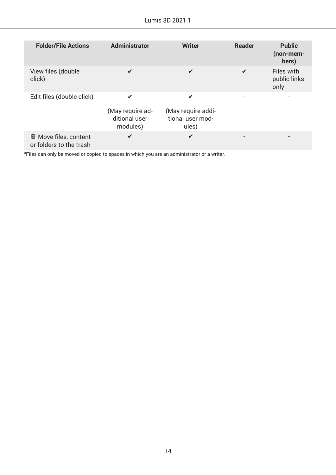| Lumis 3D 2021.1 |  |  |  |
|-----------------|--|--|--|
|-----------------|--|--|--|

| <b>Folder/File Actions</b>                                  | <b>Administrator</b>                               | <b>Writer</b>                                        | <b>Reader</b> | <b>Public</b><br>(non-mem-<br>bers) |
|-------------------------------------------------------------|----------------------------------------------------|------------------------------------------------------|---------------|-------------------------------------|
| View files (double<br>click)                                | ✔                                                  |                                                      |               | Files with<br>public links<br>only  |
| Edit files (double click)                                   | ✔<br>(May require ad-<br>ditional user<br>modules) | ✔<br>(May require addi-<br>tional user mod-<br>ules) |               |                                     |
| <sup>■</sup> Move files, content<br>or folders to the trash | ✔                                                  | ✔                                                    |               |                                     |

aFiles can only be moved or copied to spaces in which you are an administrator or a writer.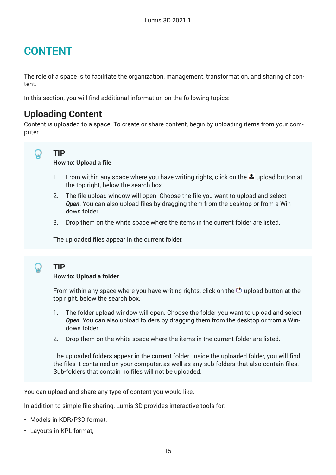## <span id="page-14-0"></span>**CONTENT**

The role of a space is to facilitate the organization, management, transformation, and sharing of content.

In this section, you will find additional information on the following topics:

## **Uploading Content**

Content is uploaded to a space. To create or share content, begin by uploading items from your computer.

#### **TIP** ω

**How to: Upload a file**

- 1. From within any space where you have writing rights, click on the  $\triangle$  upload button at the top right, below the search box.
- 2. The file upload window will open. Choose the file you want to upload and select *Open*. You can also upload files by dragging them from the desktop or from a Windows folder.
- 3. Drop them on the white space where the items in the current folder are listed.

The uploaded files appear in the current folder.

## **TIP**

#### **How to: Upload a folder**

From within any space where you have writing rights, click on the  $\Box$  upload button at the top right, below the search box.

- 1. The folder upload window will open. Choose the folder you want to upload and select *Open*. You can also upload folders by dragging them from the desktop or from a Windows folder.
- 2. Drop them on the white space where the items in the current folder are listed.

The uploaded folders appear in the current folder. Inside the uploaded folder, you will find the files it contained on your computer, as well as any sub-folders that also contain files. Sub-folders that contain no files will not be uploaded.

You can upload and share any type of content you would like.

In addition to simple file sharing, Lumis 3D provides interactive tools for:

- Models in KDR/P3D format,
- Layouts in KPL format,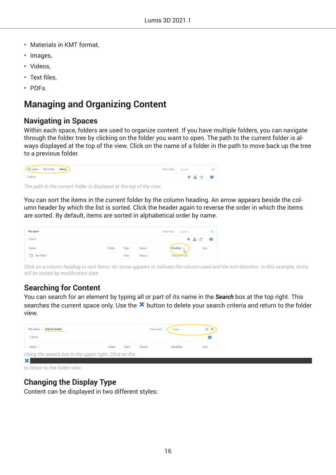- <span id="page-15-0"></span>• Materials in KMT format,
- Images,
- Videos,
- Text files.
- PDFs.

## **Managing and Organizing Content**

#### **Navigating in Spaces**

Within each space, folders are used to organize content. If you have multiple folders, you can navigate through the folder tree by clicking on the folder you want to open. The path to the current folder is always displayed at the top of the view. Click on the name of a folder in the path to move back up the tree to a previous folder.

| My mase My folder Demo | View trish Search |           |  |
|------------------------|-------------------|-----------|--|
| 0 items                |                   | $+ 20 11$ |  |

*The path to the current folder is displayed at the top of the view.*

You can sort the items in the current folder by the column heading. An arrow appears beside the column header by which the list is sorted. Click the header again to reverse the order in which the items are sorted. By default, items are sorted in alphabetical order by name.

| My space  |        |        |          | Search<br>View track |         |
|-----------|--------|--------|----------|----------------------|---------|
| $2$ items |        |        |          |                      | ₩<br>æ. |
| Name      | Public | Туре   | Owner    |                      | Nie     |
| Ny Folder |        | Folder | Relievos | 15/84/2016 11:28     |         |

*Click on a column heading to sort items. An arrow appears to indicate the column used and the sort direction. In this example, items will be sorted by modification date.* 

### **Searching for Content**

You can search for an element by typing all or part of its name in the *Search* box at the top right. This searches the current space only. Use the **\*** button to delete your search criteria and return to the folder view.

| My space<br>Search results                            |        |      | View trash      | truck    |      |
|-------------------------------------------------------|--------|------|-----------------|----------|------|
| 5 items                                               |        |      |                 |          | n    |
| Name -                                                | Public | Type | 264200<br>Owner | Modified | Size |
| Using the search box in the upper right. Click on the |        |      |                 |          |      |

*to return to the folder view.*

### **Changing the Display Type**

Content can be displayed in two different styles: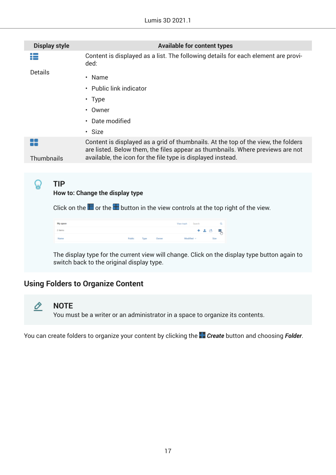<span id="page-16-0"></span>

| <b>Display style</b> |            | <b>Available for content types</b>                                                                                                                                                                                                 |
|----------------------|------------|------------------------------------------------------------------------------------------------------------------------------------------------------------------------------------------------------------------------------------|
| :=                   |            | Content is displayed as a list. The following details for each element are provi-<br>ded:                                                                                                                                          |
| <b>Details</b>       |            | $\cdot$ Name                                                                                                                                                                                                                       |
|                      |            | • Public link indicator                                                                                                                                                                                                            |
|                      |            | $\cdot$ Type                                                                                                                                                                                                                       |
|                      |            | • Owner                                                                                                                                                                                                                            |
|                      |            | Date modified<br>$\bullet$                                                                                                                                                                                                         |
|                      |            | · Size                                                                                                                                                                                                                             |
| <b>Thumbnails</b>    |            | Content is displayed as a grid of thumbnails. At the top of the view, the folders<br>are listed. Below them, the files appear as thumbnails. Where previews are not<br>available, the icon for the file type is displayed instead. |
|                      |            |                                                                                                                                                                                                                                    |
|                      | <b>TIP</b> | How to: Change the display type                                                                                                                                                                                                    |
|                      |            | Click on the $\blacksquare$ or the $\blacksquare$ button in the view controls at the top right of the view.                                                                                                                        |
|                      | My space   | a<br>View trash                                                                                                                                                                                                                    |
|                      | 2 items    | 초 큰<br>Ŗ.                                                                                                                                                                                                                          |

The display type for the current view will change. Click on the display type button again to switch back to the original display type.

Modified  $\sim$ 

**Cox** 

## **Using Folders to Organize Content**



#### **NOTE**

Name

You must be a writer or an administrator in a space to organize its contents.

You can create folders to organize your content by clicking the *Create* button and choosing *Folder*.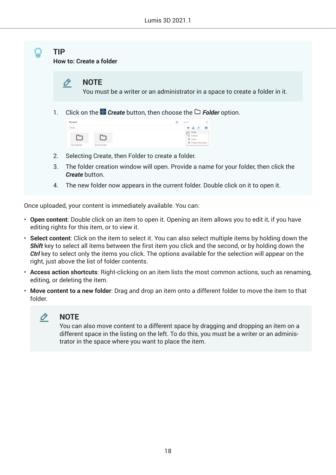

Once uploaded, your content is immediately available. You can:

- **Open content**: Double click on an item to open it. Opening an item allows you to edit it, if you have editing rights for this item, or to view it.
- **Select content**: Click on the item to select it. You can also select multiple items by holding down the *Shift* key to select all items between the first item you click and the second, or by holding down the *Ctrl* key to select only the items you click. The options available for the selection will appear on the right, just above the list of folder contents.
- **Access action shortcuts**: Right-clicking on an item lists the most common actions, such as renaming, editing, or deleting the item.
- **Move content to a new folder**: Drag and drop an item onto a different folder to move the item to that folder.



#### **NOTE**

You can also move content to a different space by dragging and dropping an item on a different space in the listing on the left. To do this, you must be a writer or an administrator in the space where you want to place the item.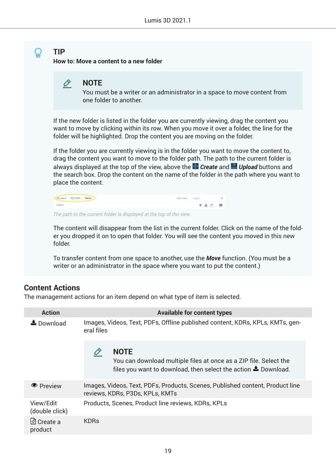<span id="page-18-0"></span>**How to: Move a content to a new folder**

You must be a writer or an administrator in a space to move content from one folder to another.

If the new folder is listed in the folder you are currently viewing, drag the content you want to move by clicking within its row. When you move it over a folder, the line for the folder will be highlighted. Drop the content you are moving on the folder.

If the folder you are currently viewing is in the folder you want to move the content to, drag the content you want to move to the folder path. The path to the current folder is always displayed at the top of the view, above the *Create* and *Upload* buttons and the search box. Drop the content on the name of the folder in the path where you want to place the content.

| My space   My Folder   Davis | Ywy trach Search |       |  |
|------------------------------|------------------|-------|--|
| 0 items                      |                  | 十五四 目 |  |

*The path to the current folder is displayed at the top of the view.*

The content will disappear from the list in the current folder. Click on the name of the folder you dropped it on to open that folder. You will see the content you moved in this new folder.

To transfer content from one space to another, use the *Move* function. (You must be a writer or an administrator in the space where you want to put the content.)

### **Content Actions**

The management actions for an item depend on what type of item is selected.

| <b>Action</b>                 | <b>Available for content types</b>                                                                                                                                |
|-------------------------------|-------------------------------------------------------------------------------------------------------------------------------------------------------------------|
| $\triangle$ Download          | Images, Videos, Text, PDFs, Offline published content, KDRs, KPLs, KMTs, gen-<br>eral files                                                                       |
|                               | <b>NOTE</b><br>You can download multiple files at once as a ZIP file. Select the<br>files you want to download, then select the action $\blacktriangle$ Download. |
| <b>O</b> Preview              | Images, Videos, Text, PDFs, Products, Scenes, Published content, Product line<br>reviews, KDRs, P3Ds, KPLs, KMTs                                                  |
| View/Edit<br>(double click)   | Products, Scenes, Product line reviews, KDRs, KPLs                                                                                                                |
| <u>ථි</u> Create a<br>product | <b>KDRs</b>                                                                                                                                                       |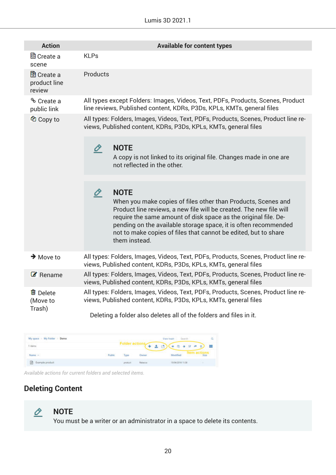#### Lumis 3D 2021.1

<span id="page-19-0"></span>

| <b>Action</b>                               | <b>Available for content types</b>                                                                                                                                                                                                                                                                                                                                                 |
|---------------------------------------------|------------------------------------------------------------------------------------------------------------------------------------------------------------------------------------------------------------------------------------------------------------------------------------------------------------------------------------------------------------------------------------|
| ■ Create a<br>scene                         | <b>KLPs</b>                                                                                                                                                                                                                                                                                                                                                                        |
| <b>图</b> Create a<br>product line<br>review | Products                                                                                                                                                                                                                                                                                                                                                                           |
| <sup>%</sup> Create a<br>public link        | All types except Folders: Images, Videos, Text, PDFs, Products, Scenes, Product<br>line reviews, Published content, KDRs, P3Ds, KPLs, KMTs, general files                                                                                                                                                                                                                          |
| <sup>他</sup> Copy to                        | All types: Folders, Images, Videos, Text, PDFs, Products, Scenes, Product line re-<br>views, Published content, KDRs, P3Ds, KPLs, KMTs, general files                                                                                                                                                                                                                              |
|                                             | <b>NOTE</b><br>0<br>A copy is not linked to its original file. Changes made in one are<br>not reflected in the other.                                                                                                                                                                                                                                                              |
|                                             | <b>NOTE</b><br>O<br>When you make copies of files other than Products, Scenes and<br>Product line reviews, a new file will be created. The new file will<br>require the same amount of disk space as the original file. De-<br>pending on the available storage space, it is often recommended<br>not to make copies of files that cannot be edited, but to share<br>them instead. |
| $\rightarrow$ Move to                       | All types: Folders, Images, Videos, Text, PDFs, Products, Scenes, Product line re-<br>views, Published content, KDRs, P3Ds, KPLs, KMTs, general files                                                                                                                                                                                                                              |
| $\mathcal{C}$ Rename                        | All types: Folders, Images, Videos, Text, PDFs, Products, Scenes, Product line re-<br>views, Published content, KDRs, P3Ds, KPLs, KMTs, general files                                                                                                                                                                                                                              |
| <sup>tm</sup> Delete<br>(Move to<br>Trash)  | All types: Folders, Images, Videos, Text, PDFs, Products, Scenes, Product line re-<br>views, Published content, KDRs, P3Ds, KPLs, KMTs, general files<br>Deleting a folder also deletes all of the folders and files in it.                                                                                                                                                        |

| My space: I My Folder - Demo |        |                |                                      | View trash - Search                |                   |
|------------------------------|--------|----------------|--------------------------------------|------------------------------------|-------------------|
| пета.                        |        | Folder actions | + 土 西                                | $-2+2+$                            | 一部<br><b>N By</b> |
| Name -                       | Public | Type           | Owner                                | Modified                           |                   |
| Example product              |        | product        | <b>PARK START</b><br><b>Falbecca</b> | ,,,,,,,,,,,,,,<br>15/04/2018 11:38 |                   |

*Available actions for current folders and selected items.*

## **Deleting Content**



#### **NOTE**

You must be a writer or an administrator in a space to delete its contents.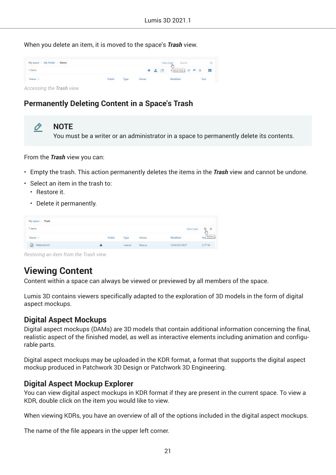<span id="page-20-0"></span>When you delete an item, it is moved to the space's *Trash* view.

| My space My Folder - Demo |        |      |         |       |                           | sarch. |       | a |
|---------------------------|--------|------|---------|-------|---------------------------|--------|-------|---|
| items<br>$\sim$ $\sim$    |        |      |         | 十 土 值 | Spectash ( ) ( ) ( ) = 12 |        |       |   |
| lattia - A-               | Public | Type | Archive |       |                           |        | Strin |   |

*Accessing the Trash view.*

### **Permanently Deleting Content in a Space's Trash**

O **NOTE** You must be a writer or an administrator in a space to permanently delete its contents.

From the *Trash* view you can:

- Empty the trash. This action permanently deletes the items in the *Trash* view and cannot be undone.
- Select an item in the trash to:
	- Restore it.
	- Delete it permanently.

| School City<br>My space : Trash |        |                               |              |                   |              |
|---------------------------------|--------|-------------------------------|--------------|-------------------|--------------|
| titems:                         |        |                               |              | Yev turk          | o<br>ŵ<br>w. |
| Name =                          | Public | Type                          | <b>Owner</b> | Modified          |              |
| Material kmt                    |        | <b>CONTRACTOR</b><br>material | Rebecca      | (5/34/2016 09:57) | 2177.88<br>. |

*Restoring an item from the Trash view.*

## **Viewing Content**

Content within a space can always be viewed or previewed by all members of the space.

Lumis 3D contains viewers specifically adapted to the exploration of 3D models in the form of digital aspect mockups.

### **Digital Aspect Mockups**

Digital aspect mockups (DAMs) are 3D models that contain additional information concerning the final, realistic aspect of the finished model, as well as interactive elements including animation and configurable parts.

Digital aspect mockups may be uploaded in the KDR format, a format that supports the digital aspect mockup produced in Patchwork 3D Design or Patchwork 3D Engineering.

### **Digital Aspect Mockup Explorer**

You can view digital aspect mockups in KDR format if they are present in the current space. To view a KDR, double click on the item you would like to view.

When viewing KDRs, you have an overview of all of the options included in the digital aspect mockups.

The name of the file appears in the upper left corner.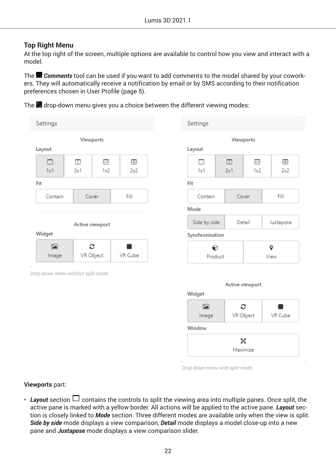#### <span id="page-21-0"></span>**Top Right Menu**

At the top right of the screen, multiple options are available to control how you view and interact with a model.

The *Comments* tool can be used if you want to add comments to the model shared by your coworkers. They will automatically receive a notification by email or by SMS according to their notification preferences chosen in User Profile (page 5).

The  $\blacktriangle$  drop-down menu gives you a choice between the different viewing modes:

| Settings                           |               |                 |                   | Settings                          |                 |          |                   |
|------------------------------------|---------------|-----------------|-------------------|-----------------------------------|-----------------|----------|-------------------|
| Layout                             |               | Viewports       |                   | Layout                            | Viewports       |          |                   |
| □<br>1x1                           | $\Box$<br>2x1 | 8<br>1x2        | $\boxplus$<br>2x2 | п<br>1x1                          | $\Box$<br>2x1   | ⊟<br>1x2 | $\boxplus$<br>2x2 |
| Fit                                |               |                 |                   | Fit                               |                 |          |                   |
| Contain                            |               | Cover           | Fill              | Contain                           | Cover           |          | Fill              |
|                                    |               |                 |                   | Mode                              |                 |          |                   |
|                                    |               | Active viewport |                   | Side by side                      | Detail          |          | Juxtapose         |
| Widget                             |               |                 |                   | Synchronisation                   |                 |          |                   |
|                                    |               |                 |                   |                                   |                 |          |                   |
| $\Xi$<br>Image                     |               | c<br>VR Object  | ٠<br>VR Cube      |                                   | ◐<br>Product    |          | 9<br>View         |
|                                    |               |                 |                   |                                   | Active viewport |          |                   |
| Drop down menu without split mode. |               |                 |                   | Widget<br>$\blacksquare$<br>Image | c<br>VR Object  |          | VR Cube           |
|                                    |               |                 |                   | Window                            |                 |          |                   |

*Drop down menu with split mode.*

**Viewports** part:

• Layout section  $\Box$  contains the controls to split the viewing area into multiple panes. Once split, the active pane is marked with a yellow border. All actions will be applied to the active pane. *Layout* section is closely linked to *Mode* section. Three different modes are available only when the view is split. *Side by side* mode displays a view comparison, *Detail* mode displays a model close-up into a new pane and *Juxtapose* mode displays a view comparison slider.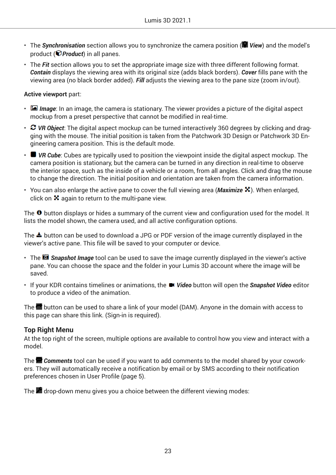- The **Synchronisation** section allows you to synchronize the camera position (**W** View) and the model's product ( *Product*) in all panes.
- The *Fit* section allows you to set the appropriate image size with three different following format. *Contain* displays the viewing area with its original size (adds black borders). *Cover* fills pane with the viewing area (no black border added). *Fill* adjusts the viewing area to the pane size (zoom in/out).

#### **Active viewport** part:

- *Image*: In an image, the camera is stationary. The viewer provides a picture of the digital aspect mockup from a preset perspective that cannot be modified in real-time.
- *C* VR Object: The digital aspect mockup can be turned interactively 360 degrees by clicking and dragging with the mouse. The initial position is taken from the Patchwork 3D Design or Patchwork 3D Engineering camera position. This is the default mode.
- *VR Cube*: Cubes are typically used to position the viewpoint inside the digital aspect mockup. The camera position is stationary, but the camera can be turned in any direction in real-time to observe the interior space, such as the inside of a vehicle or a room, from all angles. Click and drag the mouse to change the direction. The initial position and orientation are taken from the camera information.
- You can also enlarge the active pane to cover the full viewing area (*Maximize* X). When enlarged, click on  $\boldsymbol{\mathsf{X}}$  again to return to the multi-pane view.

The  $\Theta$  button displays or hides a summary of the current view and configuration used for the model. It lists the model shown, the camera used, and all active configuration options.

The  $\triangle$  button can be used to download a JPG or PDF version of the image currently displayed in the viewer's active pane. This file will be saved to your computer or device.

- The *Snapshot Image* tool can be used to save the image currently displayed in the viewer's active pane. You can choose the space and the folder in your Lumis 3D account where the image will be saved.
- If your KDR contains timelines or animations, the *Video* button will open the *Snapshot Video* editor to produce a video of the animation.

The  $\blacksquare$  button can be used to share a link of your model (DAM). Anyone in the domain with access to this page can share this link. (Sign-in is required).

#### **Top Right Menu**

At the top right of the screen, multiple options are available to control how you view and interact with a model.

The *Comments* tool can be used if you want to add comments to the model shared by your coworkers. They will automatically receive a notification by email or by SMS according to their notification preferences chosen in User Profile (page 5).

The  $d$  drop-down menu gives you a choice between the different viewing modes: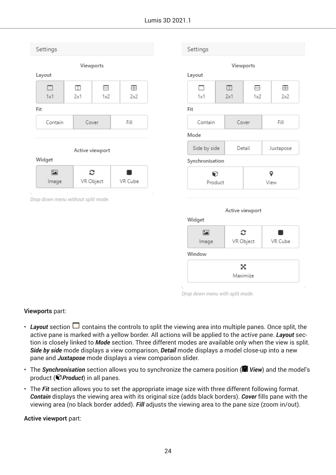| Settings                           |                         |                |          | Settings                       |               |                 |           |
|------------------------------------|-------------------------|----------------|----------|--------------------------------|---------------|-----------------|-----------|
| Layout                             | Viewports               |                |          | Layout                         |               | Viewports       |           |
| п<br>1x1                           | $\hfill \square$<br>2x1 | 8<br>1x2       | ⊞<br>2x2 | п<br>1x1                       | $\Box$<br>2x1 | ⊟<br>1x2        | ⊞<br>2x2  |
| Fit                                |                         |                |          | Fit                            |               |                 |           |
| Contain                            |                         | Cover          | Fill     | Contain                        |               | Cover           | Fill      |
|                                    |                         |                |          | Mode                           |               |                 |           |
|                                    | Active viewport         |                |          | Side by side                   |               | Detail          | Juxtapose |
| Widget                             |                         |                |          | Synchronisation                |               |                 |           |
| $\boxed{2}$<br>Image               |                         | c<br>VR Object | VR Cube  | 0                              | Product       |                 | 9<br>View |
| Drop down menu without split mode. |                         |                |          |                                |               | Active viewport |           |
|                                    |                         |                |          | Widget<br>$\boxed{2}$<br>Image |               | c<br>VR Object  | VR Cube   |
|                                    |                         |                |          | Window                         |               |                 |           |
|                                    |                         |                |          |                                |               | x<br>Maximize   |           |

*Drop down menu with split mode.*

#### **Viewports** part:

- Layout section  $\Box$  contains the controls to split the viewing area into multiple panes. Once split, the active pane is marked with a yellow border. All actions will be applied to the active pane. *Layout* section is closely linked to *Mode* section. Three different modes are available only when the view is split. *Side by side* mode displays a view comparison, *Detail* mode displays a model close-up into a new pane and *Juxtapose* mode displays a view comparison slider.
- The **Synchronisation** section allows you to synchronize the camera position (**V** View) and the model's product (*Product*) in all panes.
- The *Fit* section allows you to set the appropriate image size with three different following format. *Contain* displays the viewing area with its original size (adds black borders). *Cover* fills pane with the viewing area (no black border added). *Fill* adjusts the viewing area to the pane size (zoom in/out).

**Active viewport** part: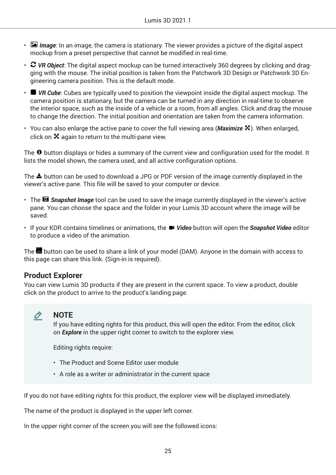- <span id="page-24-0"></span>• *Image*: In an image, the camera is stationary. The viewer provides a picture of the digital aspect mockup from a preset perspective that cannot be modified in real-time.
- *C* VR Object: The digital aspect mockup can be turned interactively 360 degrees by clicking and dragging with the mouse. The initial position is taken from the Patchwork 3D Design or Patchwork 3D Engineering camera position. This is the default mode.
- *VR Cube*: Cubes are typically used to position the viewpoint inside the digital aspect mockup. The camera position is stationary, but the camera can be turned in any direction in real-time to observe the interior space, such as the inside of a vehicle or a room, from all angles. Click and drag the mouse to change the direction. The initial position and orientation are taken from the camera information.
- You can also enlarge the active pane to cover the full viewing area (*Maximize* X). When enlarged, click on  $\boldsymbol{\Sigma}$  again to return to the multi-pane view.

The  $\Theta$  button displays or hides a summary of the current view and configuration used for the model. It lists the model shown, the camera used, and all active configuration options.

The  $\triangle$  button can be used to download a JPG or PDF version of the image currently displayed in the viewer's active pane. This file will be saved to your computer or device.

- The *Snapshot Image* tool can be used to save the image currently displayed in the viewer's active pane. You can choose the space and the folder in your Lumis 3D account where the image will be saved.
- If your KDR contains timelines or animations, the *Video* button will open the *Snapshot Video* editor to produce a video of the animation.

The  $\blacksquare$  button can be used to share a link of your model (DAM). Anyone in the domain with access to this page can share this link. (Sign-in is required).

#### **Product Explorer**

You can view Lumis 3D products if they are present in the current space. To view a product, double click on the product to arrive to the product's landing page.



#### **NOTE**

If you have editing rights for this product, this will open the editor. From the editor, click on *Explore* in the upper right corner to switch to the explorer view.

Editing rights require:

- The Product and Scene Editor user module
- A role as a writer or administrator in the current space

If you do not have editing rights for this product, the explorer view will be displayed immediately.

The name of the product is displayed in the upper left corner.

In the upper right corner of the screen you will see the followed icons: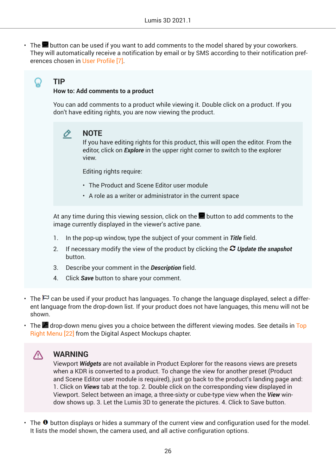$\cdot$  The **pu** button can be used if you want to add comments to the model shared by your coworkers. They will automatically receive a notification by email or by SMS according to their notification preferences chosen in [User Profile \[7\]](#page-6-0).

**TIP**

Ω

#### **How to: Add comments to a product**

You can add comments to a product while viewing it. Double click on a product. If you don't have editing rights, you are now viewing the product.

#### Ò **NOTE**

If you have editing rights for this product, this will open the editor. From the editor, click on *Explore* in the upper right corner to switch to the explorer view.

Editing rights require:

- The Product and Scene Editor user module
- A role as a writer or administrator in the current space

At any time during this viewing session, click on the  $\blacksquare$  button to add comments to the image currently displayed in the viewer's active pane.

- 1. In the pop-up window, type the subject of your comment in *Title* field.
- 2. If necessary modify the view of the product by clicking the *Update the snapshot* button.
- 3. Describe your comment in the *Description* field.
- 4. Click *Save* button to share your comment.
- The  $\Box$  can be used if your product has languages. To change the language displayed, select a different language from the drop-down list. If your product does not have languages, this menu will not be shown.
- The  $\blacktriangle$  drop-down menu gives you a choice between the different viewing modes. See details in [Top](#page-21-0) [Right Menu \[22\]](#page-21-0) from the Digital Aspect Mockups chapter.

#### Λ. **WARNING**

Viewport *Widgets* are not available in Product Explorer for the reasons views are presets when a KDR is converted to a product. To change the view for another preset (Product and Scene Editor user module is required), just go back to the product's landing page and: 1. Click on *Views* tab at the top. 2. Double click on the corresponding view displayed in Viewport. Select between an image, a three-sixty or cube-type view when the *View* window shows up. 3. Let the Lumis 3D to generate the pictures. 4. Click to Save button.

 $\cdot$  The  $\bullet$  button displays or hides a summary of the current view and configuration used for the model. It lists the model shown, the camera used, and all active configuration options.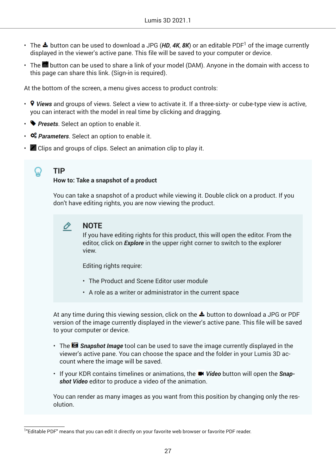- The  $\blacktriangle$  button can be used to download a JPG (**HD, 4K, 8K**) or an editable PDF<sup>1</sup> of the image currently displayed in the viewer's active pane. This file will be saved to your computer or device.
- $\cdot$  The **b**utton can be used to share a link of your model (DAM). Anyone in the domain with access to this page can share this link. (Sign-in is required).

At the bottom of the screen, a menu gives access to product controls:

- *Views* and groups of views. Select a view to activate it. If a three-sixty- or cube-type view is active, you can interact with the model in real time by clicking and dragging.
- **Presets**. Select an option to enable it.
- *Parameters*. Select an option to enable it.
- $\mathbb Z$  Clips and groups of clips. Select an animation clip to play it.

#### ဂူ **TIP**

#### **How to: Take a snapshot of a product**

You can take a snapshot of a product while viewing it. Double click on a product. If you don't have editing rights, you are now viewing the product.

#### O **NOTE**

If you have editing rights for this product, this will open the editor. From the editor, click on *Explore* in the upper right corner to switch to the explorer view.

Editing rights require:

- The Product and Scene Editor user module
- A role as a writer or administrator in the current space

At any time during this viewing session, click on the  $\triangleq$  button to download a JPG or PDF version of the image currently displayed in the viewer's active pane. This file will be saved to your computer or device.

- The *Snapshot Image* tool can be used to save the image currently displayed in the viewer's active pane. You can choose the space and the folder in your Lumis 3D account where the image will be saved.
- If your KDR contains timelines or animations, the *Video* button will open the *Snapshot Video* editor to produce a video of the animation.

You can render as many images as you want from this position by changing only the resolution.

<sup>1</sup> "Editable PDF" means that you can edit it directly on your favorite web browser or favorite PDF reader.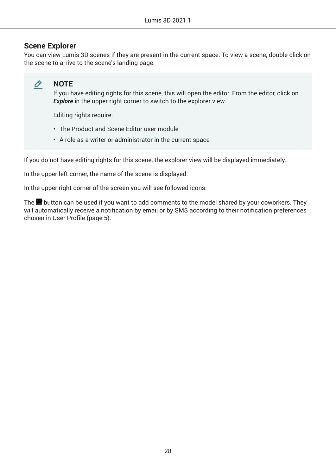#### <span id="page-27-0"></span>**Scene Explorer**

You can view Lumis 3D scenes if they are present in the current space. To view a scene, double click on the scene to arrive to the scene's landing page.



### **NOTE**

If you have editing rights for this scene, this will open the editor. From the editor, click on **Explore** in the upper right corner to switch to the explorer view.

Editing rights require:

- The Product and Scene Editor user module
- A role as a writer or administrator in the current space

If you do not have editing rights for this scene, the explorer view will be displayed immediately.

In the upper left corner, the name of the scene is displayed.

In the upper right corner of the screen you will see followed icons:

The  $\blacksquare$  button can be used if you want to add comments to the model shared by your coworkers. They will automatically receive a notification by email or by SMS according to their notification preferences chosen in User Profile (page 5).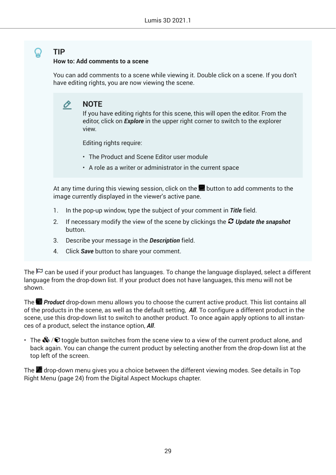#### **How to: Add comments to a scene**

You can add comments to a scene while viewing it. Double click on a scene. If you don't have editing rights, you are now viewing the scene.

#### **NOTE** O.

If you have editing rights for this scene, this will open the editor. From the editor, click on *Explore* in the upper right corner to switch to the explorer view.

Editing rights require:

- The Product and Scene Editor user module
- A role as a writer or administrator in the current space

At any time during this viewing session, click on the  $\blacksquare$  button to add comments to the image currently displayed in the viewer's active pane.

- 1. In the pop-up window, type the subject of your comment in *Title* field.
- 2. If necessary modify the view of the scene by clickings the *Update the snapshot* button.
- 3. Describe your message in the *Description* field.
- 4. Click *Save* button to share your comment.

The  $\blacktriangleright$  can be used if your product has languages. To change the language displayed, select a different language from the drop-down list. If your product does not have languages, this menu will not be shown.

The *Product* drop-down menu allows you to choose the current active product. This list contains all of the products in the scene, as well as the default setting, *All*. To configure a different product in the scene, use this drop-down list to switch to another product. To once again apply options to all instances of a product, select the instance option, *All*.

• The  $\clubsuit$  / $\heartsuit$  toggle button switches from the scene view to a view of the current product alone, and back again. You can change the current product by selecting another from the drop-down list at the top left of the screen.

The drop-down menu gives you a choice between the different viewing modes. See details in Top Right Menu (page 24) from the Digital Aspect Mockups chapter.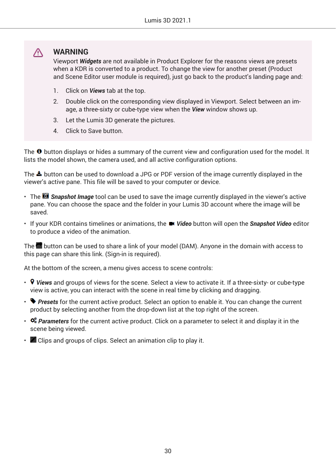#### $\triangle$ **WARNING**

Viewport *Widgets* are not available in Product Explorer for the reasons views are presets when a KDR is converted to a product. To change the view for another preset (Product and Scene Editor user module is required), just go back to the product's landing page and:

- 1. Click on *Views* tab at the top.
- 2. Double click on the corresponding view displayed in Viewport. Select between an image, a three-sixty or cube-type view when the *View* window shows up.
- 3. Let the Lumis 3D generate the pictures.
- 4. Click to Save button.

The  $\bullet$  button displays or hides a summary of the current view and configuration used for the model. It lists the model shown, the camera used, and all active configuration options.

The  $\triangle$  button can be used to download a JPG or PDF version of the image currently displayed in the viewer's active pane. This file will be saved to your computer or device.

- The *Snapshot Image* tool can be used to save the image currently displayed in the viewer's active pane. You can choose the space and the folder in your Lumis 3D account where the image will be saved.
- If your KDR contains timelines or animations, the *Video* button will open the *Snapshot Video* editor to produce a video of the animation.

The **b**utton can be used to share a link of your model (DAM). Anyone in the domain with access to this page can share this link. (Sign-in is required).

At the bottom of the screen, a menu gives access to scene controls:

- *Views* and groups of views for the scene. Select a view to activate it. If a three-sixty- or cube-type view is active, you can interact with the scene in real time by clicking and dragging.
- **Presets** for the current active product. Select an option to enable it. You can change the current product by selecting another from the drop-down list at the top right of the screen.
- *Parameters* for the current active product. Click on a parameter to select it and display it in the scene being viewed.
- $\cdot$   $\blacksquare$  Clips and groups of clips. Select an animation clip to play it.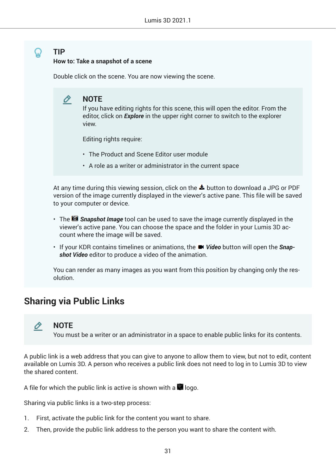#### <span id="page-30-0"></span>**How to: Take a snapshot of a scene**

Double click on the scene. You are now viewing the scene.

#### O **NOTE**

If you have editing rights for this scene, this will open the editor. From the editor, click on *Explore* in the upper right corner to switch to the explorer view.

Editing rights require:

- The Product and Scene Editor user module
- A role as a writer or administrator in the current space

At any time during this viewing session, click on the  $\triangleq$  button to download a JPG or PDF version of the image currently displayed in the viewer's active pane. This file will be saved to your computer or device.

- The *Snapshot Image* tool can be used to save the image currently displayed in the viewer's active pane. You can choose the space and the folder in your Lumis 3D account where the image will be saved.
- If your KDR contains timelines or animations, the *Video* button will open the Snap*shot Video* editor to produce a video of the animation.

You can render as many images as you want from this position by changing only the resolution.

## **Sharing via Public Links**

#### O **NOTE**

You must be a writer or an administrator in a space to enable public links for its contents.

A public link is a web address that you can give to anyone to allow them to view, but not to edit, content available on Lumis 3D. A person who receives a public link does not need to log in to Lumis 3D to view the shared content.

A file for which the public link is active is shown with a  $\Box$  logo.

Sharing via public links is a two-step process:

- 1. First, activate the public link for the content you want to share.
- 2. Then, provide the public link address to the person you want to share the content with.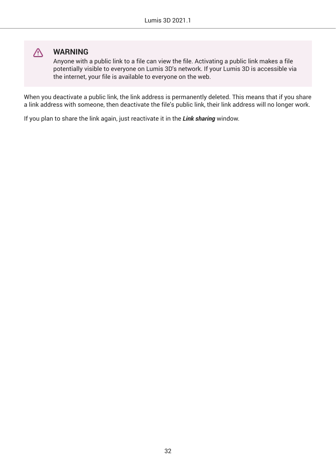

### **WARNING**

Anyone with a public link to a file can view the file. Activating a public link makes a file potentially visible to everyone on Lumis 3D's network. If your Lumis 3D is accessible via the internet, your file is available to everyone on the web.

When you deactivate a public link, the link address is permanently deleted. This means that if you share a link address with someone, then deactivate the file's public link, their link address will no longer work.

If you plan to share the link again, just reactivate it in the *Link sharing* window.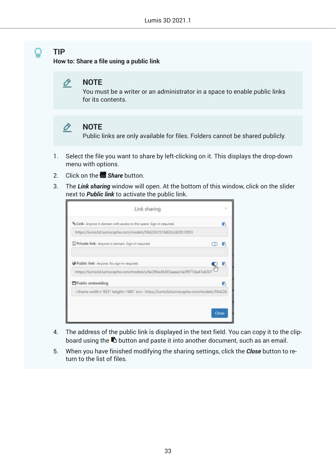#### **TIP** ມ

**How to: Share a file using a public link**



You must be a writer or an administrator in a space to enable public links for its contents.

#### O **NOTE**

Public links are only available for files. Folders cannot be shared publicly.

- 1. Select the file you want to share by left-clicking on it. This displays the drop-down menu with options.
- 2. Click on the *Share* button.
- 3. The *Link sharing* window will open. At the bottom of this window, click on the slider next to *Public link* to activate the public link.

| % Link- Anyone in domain with access to this space. Sign-in required.<br>https://lumis3d.lumiscaphe.com/models/59d226151fa82b2420510f53<br>Private link- Anyone in domain. Sign-in required.<br>Public link- Anyone. No sign-in required. |
|-------------------------------------------------------------------------------------------------------------------------------------------------------------------------------------------------------------------------------------------|
|                                                                                                                                                                                                                                           |
|                                                                                                                                                                                                                                           |
|                                                                                                                                                                                                                                           |
|                                                                                                                                                                                                                                           |
| https://lumis3d.lumiscaphe.com/models/s/8e296ed5455aaaac3a3f977da47a630                                                                                                                                                                   |
| Public embedding                                                                                                                                                                                                                          |
| <iframe height="480" src="https://lumis3d.lumiscaphe.com/models/59d226&lt;/td" width="853"></iframe>                                                                                                                                      |

- 4. The address of the public link is displayed in the text field. You can copy it to the clipboard using the  $\blacksquare$  button and paste it into another document, such as an email.
- 5. When you have finished modifying the sharing settings, click the *Close* button to return to the list of files.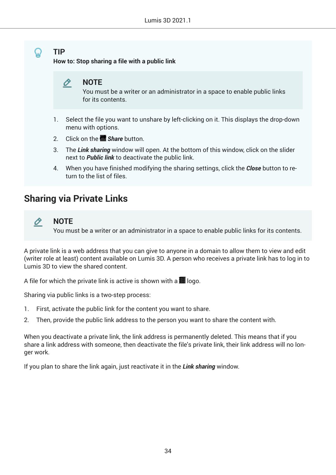<span id="page-33-0"></span>**How to: Stop sharing a file with a public link**



You must be a writer or an administrator in a space to enable public links for its contents.

- 1. Select the file you want to unshare by left-clicking on it. This displays the drop-down menu with options.
- 2. Click on the *Share* button.
- 3. The *Link sharing* window will open. At the bottom of this window, click on the slider next to *Public link* to deactivate the public link.
- 4. When you have finished modifying the sharing settings, click the *Close* button to return to the list of files.

## **Sharing via Private Links**



#### **NOTE**

You must be a writer or an administrator in a space to enable public links for its contents.

A private link is a web address that you can give to anyone in a domain to allow them to view and edit (writer role at least) content available on Lumis 3D. A person who receives a private link has to log in to Lumis 3D to view the shared content.

A file for which the private link is active is shown with a  $\blacksquare$  logo.

Sharing via public links is a two-step process:

- 1. First, activate the public link for the content you want to share.
- 2. Then, provide the public link address to the person you want to share the content with.

When you deactivate a private link, the link address is permanently deleted. This means that if you share a link address with someone, then deactivate the file's private link, their link address will no longer work.

If you plan to share the link again, just reactivate it in the *Link sharing* window.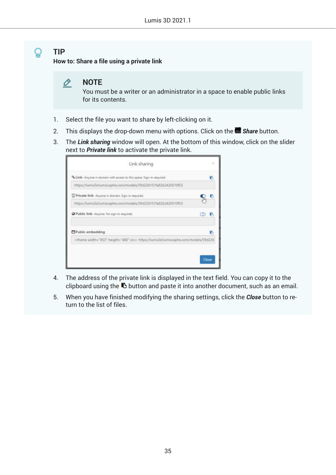**How to: Share a file using a private link**

O **NOTE**

> You must be a writer or an administrator in a space to enable public links for its contents.

- 1. Select the file you want to share by left-clicking on it.
- 2. This displays the drop-down menu with options. Click on the *Share* button.
- 3. The *Link sharing* window will open. At the bottom of this window, click on the slider next to *Private link* to activate the private link.

| Link sharing                                                                                                  | $\overline{\mathbf{x}}$ |
|---------------------------------------------------------------------------------------------------------------|-------------------------|
| % Link- Anyone in domain with access to this space. Sign-in required.                                         |                         |
| https://lumis3d.lumiscaphe.com/models/59d226151fa82b2420510f53                                                |                         |
| Private link- Anyone in domain. Sign-in required.                                                             |                         |
| https://lumis3d.lumiscaphe.com/models/59d226151fa82b2420510f53                                                |                         |
| Public link- Anyone. No sign-in required.                                                                     |                         |
| Public embedding                                                                                              |                         |
| <iframe height="480" src="https://lumis3d.lumiscaphe.com/models/59d226&lt;/td" width="853"><td></td></iframe> |                         |
|                                                                                                               |                         |
|                                                                                                               | Close                   |

- 4. The address of the private link is displayed in the text field. You can copy it to the clipboard using the  $\blacksquare$  button and paste it into another document, such as an email.
- 5. When you have finished modifying the sharing settings, click the *Close* button to return to the list of files.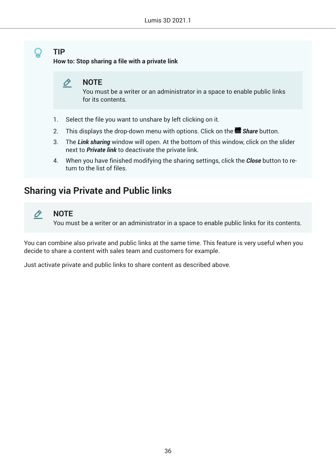<span id="page-35-0"></span>**How to: Stop sharing a file with a private link**



You must be a writer or an administrator in a space to enable public links for its contents.

- 1. Select the file you want to unshare by left clicking on it.
- 2. This displays the drop-down menu with options. Click on the *Share* button.
- 3. The *Link sharing* window will open. At the bottom of this window, click on the slider next to *Private link* to deactivate the private link.
- 4. When you have finished modifying the sharing settings, click the *Close* button to return to the list of files.

## **Sharing via Private and Public links**



#### **NOTE**

You must be a writer or an administrator in a space to enable public links for its contents.

You can combine also private and public links at the same time. This feature is very useful when you decide to share a content with sales team and customers for example.

Just activate private and public links to share content as described above.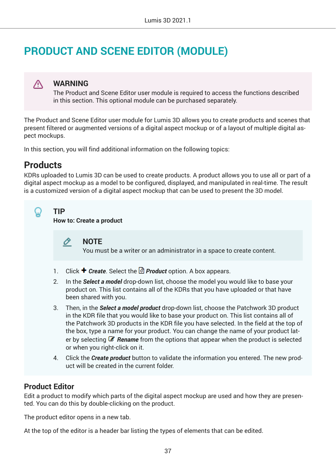# **PRODUCT AND SCENE EDITOR (MODULE)**

## **WARNING**

The Product and Scene Editor user module is required to access the functions described in this section. This optional module can be purchased separately.

The Product and Scene Editor user module for Lumis 3D allows you to create products and scenes that present filtered or augmented versions of a digital aspect mockup or of a layout of multiple digital aspect mockups.

In this section, you will find additional information on the following topics:

# **Products**

∧

KDRs uploaded to Lumis 3D can be used to create products. A product allows you to use all or part of a digital aspect mockup as a model to be configured, displayed, and manipulated in real-time. The result is a customized version of a digital aspect mockup that can be used to present the 3D model.



**TIP**

**How to: Create a product**

O **NOTE**

You must be a writer or an administrator in a space to create content.

- 1. Click **+** *Create*. Select the *Product* option. A box appears.
- 2. In the *Select a model* drop-down list, choose the model you would like to base your product on. This list contains all of the KDRs that you have uploaded or that have been shared with you.
- 3. Then, in the *Select a model product* drop-down list, choose the Patchwork 3D product in the KDR file that you would like to base your product on. This list contains all of the Patchwork 3D products in the KDR file you have selected. In the field at the top of the box, type a name for your product. You can change the name of your product later by selecting *Rename* from the options that appear when the product is selected or when you right-click on it.
- 4. Click the *Create product* button to validate the information you entered. The new product will be created in the current folder.

## **Product Editor**

Edit a product to modify which parts of the digital aspect mockup are used and how they are presented. You can do this by double-clicking on the product.

The product editor opens in a new tab.

At the top of the editor is a header bar listing the types of elements that can be edited.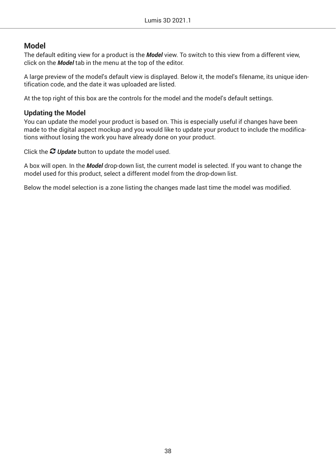## **Model**

The default editing view for a product is the *Model* view. To switch to this view from a different view, click on the *Model* tab in the menu at the top of the editor.

A large preview of the model's default view is displayed. Below it, the model's filename, its unique identification code, and the date it was uploaded are listed.

At the top right of this box are the controls for the model and the model's default settings.

## **Updating the Model**

You can update the model your product is based on. This is especially useful if changes have been made to the digital aspect mockup and you would like to update your product to include the modifications without losing the work you have already done on your product.

Click the *Update* button to update the model used.

A box will open. In the *Model* drop-down list, the current model is selected. If you want to change the model used for this product, select a different model from the drop-down list.

Below the model selection is a zone listing the changes made last time the model was modified.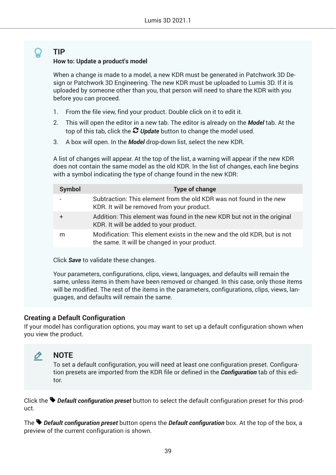### **How to: Update a product's model**

When a change is made to a model, a new KDR must be generated in Patchwork 3D Design or Patchwork 3D Engineering. The new KDR must be uploaded to Lumis 3D. If it is uploaded by someone other than you, that person will need to share the KDR with you before you can proceed.

- 1. From the file view, find your product. Double click on it to edit it.
- 2. This will open the editor in a new tab. The editor is already on the *Model* tab. At the top of this tab, click the *Update* button to change the model used.
- 3. A box will open. In the *Model* drop-down list, select the new KDR.

A list of changes will appear. At the top of the list, a warning will appear if the new KDR does not contain the same model as the old KDR. In the list of changes, each line begins with a symbol indicating the type of change found in the new KDR:

| <b>Symbol</b> | <b>Type of change</b>                                                                                                     |
|---------------|---------------------------------------------------------------------------------------------------------------------------|
|               | Subtraction: This element from the old KDR was not found in the new<br>KDR. It will be removed from your product.         |
|               | Addition: This element was found in the new KDR but not in the original<br>KDR. It will be added to your product.         |
| m             | Modification: This element exists in the new and the old KDR, but is not<br>the same. It will be changed in your product. |

Click *Save* to validate these changes.

Your parameters, configurations, clips, views, languages, and defaults will remain the same, unless items in them have been removed or changed. In this case, only those items will be modified. The rest of the items in the parameters, configurations, clips, views, languages, and defaults will remain the same.

## **Creating a Default Configuration**

If your model has configuration options, you may want to set up a default configuration shown when you view the product.

#### O **NOTE**

To set a default configuration, you will need at least one configuration preset. Configuration presets are imported from the KDR file or defined in the *Configuration* tab of this editor.

Click the *Default configuration preset* button to select the default configuration preset for this product.

The **Default configuration preset** button opens the **Default configuration** box. At the top of the box, a preview of the current configuration is shown.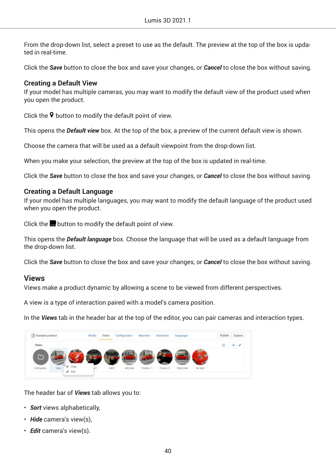From the drop-down list, select a preset to use as the default. The preview at the top of the box is updated in real-time.

Click the *Save* button to close the box and save your changes, or *Cancel* to close the box without saving.

### **Creating a Default View**

If your model has multiple cameras, you may want to modify the default view of the product used when you open the product.

Click the  $\triangledown$  button to modify the default point of view.

This opens the *Default view* box. At the top of the box, a preview of the current default view is shown.

Choose the camera that will be used as a default viewpoint from the drop-down list.

When you make your selection, the preview at the top of the box is updated in real-time.

Click the *Save* button to close the box and save your changes, or *Cancel* to close the box without saving.

### **Creating a Default Language**

If your model has multiple languages, you may want to modify the default language of the product used when you open the product.

Click the **b**utton to modify the default point of view.

This opens the *Default language* box. Choose the language that will be used as a default language from the drop-down list.

Click the *Save* button to close the box and save your changes, or *Cancel* to close the box without saving.

## **Views**

Views make a product dynamic by allowing a scene to be viewed from different perspectives.

A view is a type of interaction paired with a model's camera position.

In the *Views* tab in the header bar at the top of the editor, you can pair cameras and interaction types.

| 8 Example product           | <b>Views</b><br>Model | Configuration       | Animation<br>Rejection  | Languages  | Explore<br>Publish |
|-----------------------------|-----------------------|---------------------|-------------------------|------------|--------------------|
| Views                       |                       |                     |                         |            | $+1$<br>41         |
|                             |                       |                     |                         |            |                    |
|                             |                       |                     |                         |            | ъ                  |
| Configurati<br><b>Sider</b> | in1                   | Inter2<br>Left_Side | Produk:3<br>Produit : 1 | Right_Side | Tail light         |

The header bar of *Views* tab allows you to:

- *Sort* views alphabetically,
- *Hide* camera's view(s),
- *Edit* camera's view(s).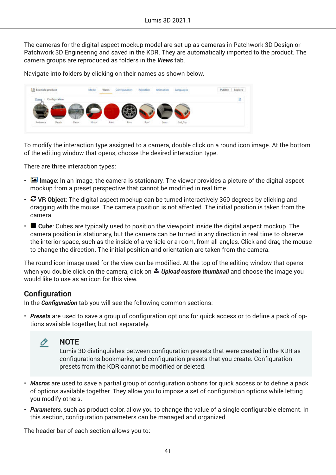The cameras for the digital aspect mockup model are set up as cameras in Patchwork 3D Design or Patchwork 3D Engineering and saved in the KDR. They are automatically imported to the product. The camera groups are reproduced as folders in the *Views* tab.

Navigate into folders by clicking on their names as shown below.



To modify the interaction type assigned to a camera, double click on a round icon image. At the bottom of the editing window that opens, choose the desired interaction type.

There are three interaction types:

- **Image**: In an image, the camera is stationary. The viewer provides a picture of the digital aspect mockup from a preset perspective that cannot be modified in real time.
- **VR Object**: The digital aspect mockup can be turned interactively 360 degrees by clicking and dragging with the mouse. The camera position is not affected. The initial position is taken from the camera.
- **Cube**: Cubes are typically used to position the viewpoint inside the digital aspect mockup. The camera position is stationary, but the camera can be turned in any direction in real time to observe the interior space, such as the inside of a vehicle or a room, from all angles. Click and drag the mouse to change the direction. The initial position and orientation are taken from the camera.

The round icon image used for the view can be modified. At the top of the editing window that opens when you double click on the camera, click on **1** Upload custom thumbnail and choose the image you would like to use as an icon for this view.

## **Configuration**

In the **Configuration** tab you will see the following common sections:

• *Presets* are used to save a group of configuration options for quick access or to define a pack of options available together, but not separately.



**NOTE** Lumis 3D distinguishes between configuration presets that were created in the KDR as configurations bookmarks, and configuration presets that you create. Configuration presets from the KDR cannot be modified or deleted.

- *Macros* are used to save a partial group of configuration options for quick access or to define a pack of options available together. They allow you to impose a set of configuration options while letting you modify others.
- *Parameters*, such as product color, allow you to change the value of a single configurable element. In this section, configuration parameters can be managed and organized.

The header bar of each section allows you to: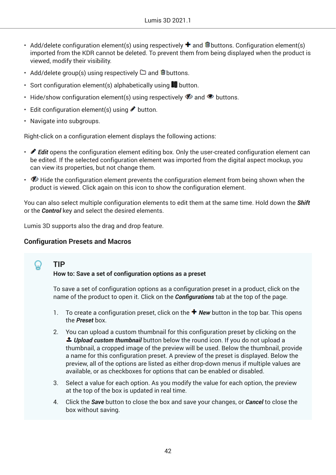- Add/delete configuration element(s) using respectively  $\bigstar$  and  $\blacksquare$  buttons. Configuration element(s) imported from the KDR cannot be deleted. To prevent them from being displayed when the product is viewed, modify their visibility.
- Add/delete group(s) using respectively  $\Box$  and  $\blacksquare$  buttons.
- Sort configuration element(s) alphabetically using  $\blacksquare$  button.
- Hide/show configuration element(s) using respectively  $\blacklozenge$  and  $\blacklozenge$  buttons.
- Edit configuration element(s) using  $\bullet$  button.
- Navigate into subgroups.

Right-click on a configuration element displays the following actions:

- *♦* **Edit** opens the configuration element editing box. Only the user-created configuration element can be edited. If the selected configuration element was imported from the digital aspect mockup, you can view its properties, but not change them.
- $\bullet$  Hide the configuration element prevents the configuration element from being shown when the product is viewed. Click again on this icon to show the configuration element.

You can also select multiple configuration elements to edit them at the same time. Hold down the *Shift* or the *Control* key and select the desired elements.

Lumis 3D supports also the drag and drop feature.

## **Configuration Presets and Macros**

# **TIP**

### **How to: Save a set of configuration options as a preset**

To save a set of configuration options as a configuration preset in a product, click on the name of the product to open it. Click on the **Configurations** tab at the top of the page.

- 1. To create a configuration preset, click on the **+ New** button in the top bar. This opens the *Preset* box.
- 2. You can upload a custom thumbnail for this configuration preset by clicking on the *Upload custom thumbnail* button below the round icon. If you do not upload a thumbnail, a cropped image of the preview will be used. Below the thumbnail, provide a name for this configuration preset. A preview of the preset is displayed. Below the preview, all of the options are listed as either drop-down menus if multiple values are available, or as checkboxes for options that can be enabled or disabled.
- 3. Select a value for each option. As you modify the value for each option, the preview at the top of the box is updated in real time.
- 4. Click the *Save* button to close the box and save your changes, or *Cancel* to close the box without saving.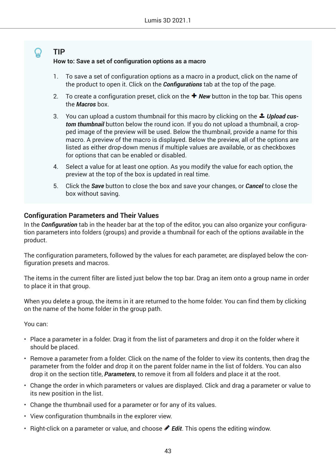## **TIP How to: Save a set of configuration options as a macro**

- 1. To save a set of configuration options as a macro in a product, click on the name of the product to open it. Click on the **Configurations** tab at the top of the page.
- 2. To create a configuration preset, click on the *New* button in the top bar. This opens the *Macros* box.
- 3. You can upload a custom thumbnail for this macro by clicking on the *Upload custom thumbnail* button below the round icon. If you do not upload a thumbnail, a cropped image of the preview will be used. Below the thumbnail, provide a name for this macro. A preview of the macro is displayed. Below the preview, all of the options are listed as either drop-down menus if multiple values are available, or as checkboxes for options that can be enabled or disabled.
- 4. Select a value for at least one option. As you modify the value for each option, the preview at the top of the box is updated in real time.
- 5. Click the *Save* button to close the box and save your changes, or *Cancel* to close the box without saving.

## **Configuration Parameters and Their Values**

In the **Configuration** tab in the header bar at the top of the editor, you can also organize your configuration parameters into folders (groups) and provide a thumbnail for each of the options available in the product.

The configuration parameters, followed by the values for each parameter, are displayed below the configuration presets and macros.

The items in the current filter are listed just below the top bar. Drag an item onto a group name in order to place it in that group.

When you delete a group, the items in it are returned to the home folder. You can find them by clicking on the name of the home folder in the group path.

You can:

- Place a parameter in a folder. Drag it from the list of parameters and drop it on the folder where it should be placed.
- Remove a parameter from a folder. Click on the name of the folder to view its contents, then drag the parameter from the folder and drop it on the parent folder name in the list of folders. You can also drop it on the section title, *Parameters*, to remove it from all folders and place it at the root.
- Change the order in which parameters or values are displayed. Click and drag a parameter or value to its new position in the list.
- Change the thumbnail used for a parameter or for any of its values.
- View configuration thumbnails in the explorer view.
- Right-click on a parameter or value, and choose **P Edit**. This opens the editing window.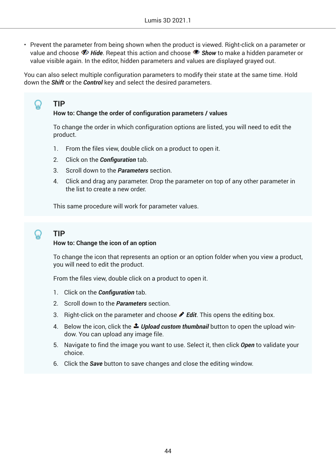• Prevent the parameter from being shown when the product is viewed. Right-click on a parameter or value and choose *Hide*. Repeat this action and choose *Show* to make a hidden parameter or value visible again. In the editor, hidden parameters and values are displayed grayed out.

You can also select multiple configuration parameters to modify their state at the same time. Hold down the *Shift* or the *Control* key and select the desired parameters.

## **How to: Change the order of configuration parameters / values**

To change the order in which configuration options are listed, you will need to edit the product.

- 1. From the files view, double click on a product to open it.
- 2. Click on the *Configuration* tab.
- 3. Scroll down to the *Parameters* section.
- 4. Click and drag any parameter. Drop the parameter on top of any other parameter in the list to create a new order.

This same procedure will work for parameter values.

**TIP**

**TIP**

Ω

### **How to: Change the icon of an option**

To change the icon that represents an option or an option folder when you view a product, you will need to edit the product.

From the files view, double click on a product to open it.

- 1. Click on the **Configuration** tab.
- 2. Scroll down to the *Parameters* section.
- 3. Right-click on the parameter and choose *Edit*. This opens the editing box.
- 4. Below the icon, click the *Upload custom thumbnail* button to open the upload window. You can upload any image file.
- 5. Navigate to find the image you want to use. Select it, then click *Open* to validate your choice.
- 6. Click the *Save* button to save changes and close the editing window.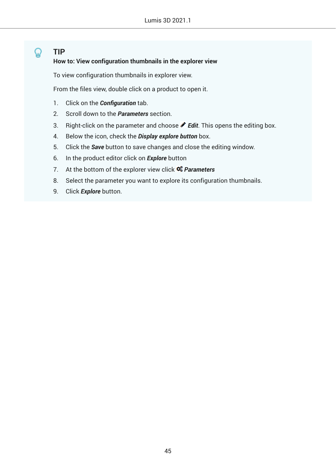## **TIP How to: View configuration thumbnails in the explorer view**

To view configuration thumbnails in explorer view.

From the files view, double click on a product to open it.

- 1. Click on the **Configuration** tab.
- 2. Scroll down to the *Parameters* section.
- 3. Right-click on the parameter and choose *Edit*. This opens the editing box.
- 4. Below the icon, check the *Display explore button* box.
- 5. Click the *Save* button to save changes and close the editing window.
- 6. In the product editor click on *Explore* button
- 7. At the bottom of the explorer view click *Parameters*
- 8. Select the parameter you want to explore its configuration thumbnails.
- 9. Click *Explore* button.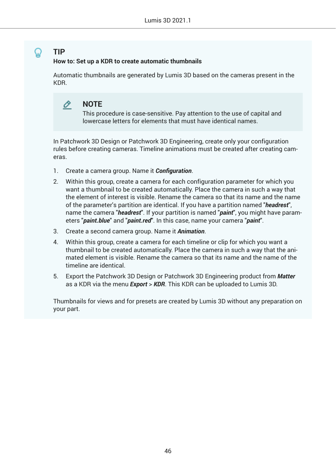## **How to: Set up a KDR to create automatic thumbnails**

Automatic thumbnails are generated by Lumis 3D based on the cameras present in the KDR.

#### O **NOTE**

This procedure is case-sensitive. Pay attention to the use of capital and lowercase letters for elements that must have identical names.

In Patchwork 3D Design or Patchwork 3D Engineering, create only your configuration rules before creating cameras. Timeline animations must be created after creating cameras.

- 1. Create a camera group. Name it **Configuration**.
- 2. Within this group, create a camera for each configuration parameter for which you want a thumbnail to be created automatically. Place the camera in such a way that the element of interest is visible. Rename the camera so that its name and the name of the parameter's partition are identical. If you have a partition named "*headrest*", name the camera "*headrest*". If your partition is named "*paint*", you might have parameters "*paint.blue*" and "*paint.red*". In this case, name your camera "*paint*".
- 3. Create a second camera group. Name it *Animation*.
- 4. Within this group, create a camera for each timeline or clip for which you want a thumbnail to be created automatically. Place the camera in such a way that the animated element is visible. Rename the camera so that its name and the name of the timeline are identical.
- 5. Export the Patchwork 3D Design or Patchwork 3D Engineering product from *Matter* as a KDR via the menu *Export* > *KDR*. This KDR can be uploaded to Lumis 3D.

Thumbnails for views and for presets are created by Lumis 3D without any preparation on your part.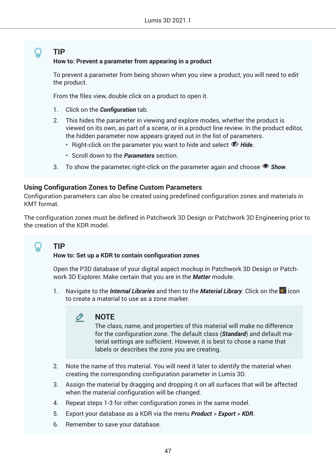### **TIP How to: Prevent a parameter from appearing in a product**

To prevent a parameter from being shown when you view a product, you will need to edit the product.

From the files view, double click on a product to open it.

- 1. Click on the **Configuration** tab.
- 2. This hides the parameter in viewing and explore modes, whether the product is viewed on its own, as part of a scene, or in a product line review. In the product editor, the hidden parameter now appears grayed out in the list of parameters.
	- Right-click on the parameter you want to hide and select  $\Phi$  Hide.
	- Scroll down to the *Parameters* section.
- 3. To show the parameter, right-click on the parameter again and choose *Show*.

### **Using Configuration Zones to Define Custom Parameters**

Configuration parameters can also be created using predefined configuration zones and materials in KMT format.

The configuration zones must be defined in Patchwork 3D Design or Patchwork 3D Engineering prior to the creation of the KDR model.

# **TIP**

Ω

### **How to: Set up a KDR to contain configuration zones**

Open the P3D database of your digital aspect mockup in Patchwork 3D Design or Patchwork 3D Explorer. Make certain that you are in the *Matter* module.

1. Navigate to the *Internal Libraries* and then to the *Material Library*. Click on the  $\bullet^+$  icon to create a material to use as a zone marker.

#### O **NOTE**

The class, name, and properties of this material will make no difference for the configuration zone. The default class (*Standard*) and default material settings are sufficient. However, it is best to chose a name that labels or describes the zone you are creating.

- 2. Note the name of this material. You will need it later to identify the material when creating the corresponding configuration parameter in Lumis 3D.
- 3. Assign the material by dragging and dropping it on all surfaces that will be affected when the material configuration will be changed.
- 4. Repeat steps 1-3 for other configuration zones in the same model.
- 5. Export your database as a KDR via the menu *Product* > *Export* > *KDR*.
- 6. Remember to save your database.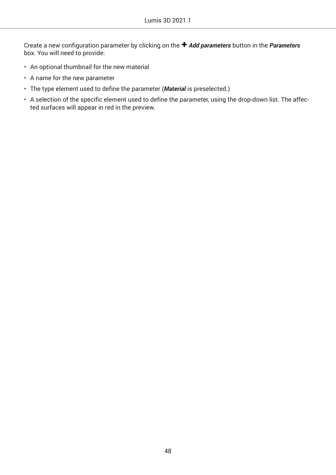Create a new configuration parameter by clicking on the *Add parameters* button in the *Parameters* box. You will need to provide:

- An optional thumbnail for the new material
- A name for the new parameter
- The type element used to define the parameter (*Material* is preselected.)
- A selection of the specific element used to define the parameter, using the drop-down list. The affected surfaces will appear in red in the preview.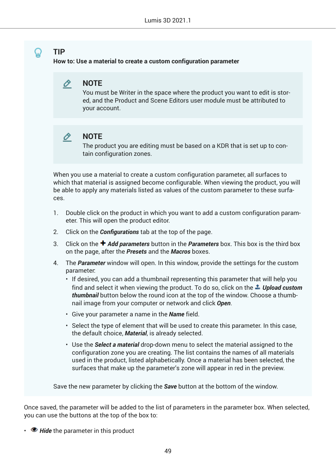**How to: Use a material to create a custom configuration parameter**



You must be Writer in the space where the product you want to edit is stored, and the Product and Scene Editors user module must be attributed to your account.

#### **NOTE** O.

The product you are editing must be based on a KDR that is set up to contain configuration zones.

When you use a material to create a custom configuration parameter, all surfaces to which that material is assigned become configurable. When viewing the product, you will be able to apply any materials listed as values of the custom parameter to these surfaces.

- 1. Double click on the product in which you want to add a custom configuration parameter. This will open the product editor.
- 2. Click on the **Configurations** tab at the top of the page.
- 3. Click on the *Add parameters* button in the *Parameters* box. This box is the third box on the page, after the *Presets* and the *Macros* boxes.
- 4. The *Parameter* window will open. In this window, provide the settings for the custom parameter:
	- If desired, you can add a thumbnail representing this parameter that will help you find and select it when viewing the product. To do so, click on the *Upload custom thumbnail* button below the round icon at the top of the window. Choose a thumbnail image from your computer or network and click *Open*.
	- Give your parameter a name in the *Name* field.
	- Select the type of element that will be used to create this parameter. In this case, the default choice, *Material*, is already selected.
	- Use the *Select a material* drop-down menu to select the material assigned to the configuration zone you are creating. The list contains the names of all materials used in the product, listed alphabetically. Once a material has been selected, the surfaces that make up the parameter's zone will appear in red in the preview.

Save the new parameter by clicking the *Save* button at the bottom of the window.

Once saved, the parameter will be added to the list of parameters in the parameter box. When selected, you can use the buttons at the top of the box to:

• **• Hide** the parameter in this product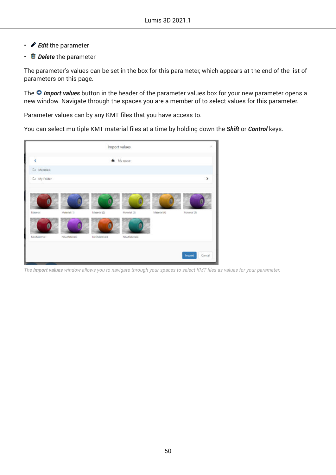- *Edit* the parameter
- *Delete* the parameter

The parameter's values can be set in the box for this parameter, which appears at the end of the list of parameters on this page.

The **O** Import values button in the header of the parameter values box for your new parameter opens a new window. Navigate through the spaces you are a member of to select values for this parameter.

Parameter values can by any KMT files that you have access to.

You can select multiple KMT material files at a time by holding down the *Shift* or *Control* keys.



*The Import values window allows you to navigate through your spaces to select KMT ƒles as values for your parameter.*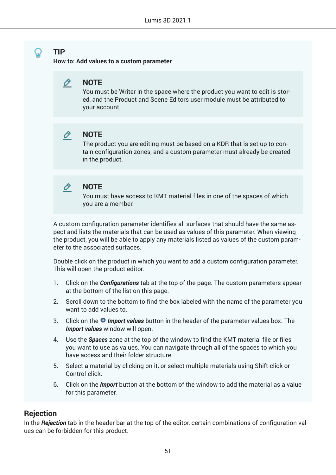**How to: Add values to a custom parameter**



You must be Writer in the space where the product you want to edit is stored, and the Product and Scene Editors user module must be attributed to your account.



## **NOTE**

The product you are editing must be based on a KDR that is set up to contain configuration zones, and a custom parameter must already be created in the product.



## **NOTE**

You must have access to KMT material files in one of the spaces of which you are a member.

A custom configuration parameter identifies all surfaces that should have the same aspect and lists the materials that can be used as values of this parameter. When viewing the product, you will be able to apply any materials listed as values of the custom parameter to the associated surfaces.

Double click on the product in which you want to add a custom configuration parameter. This will open the product editor.

- 1. Click on the **Configurations** tab at the top of the page. The custom parameters appear at the bottom of the list on this page.
- 2. Scroll down to the bottom to find the box labeled with the name of the parameter you want to add values to.
- 3. Click on the *Import values* button in the header of the parameter values box. The *Import values* window will open.
- 4. Use the *Spaces* zone at the top of the window to find the KMT material file or files you want to use as values. You can navigate through all of the spaces to which you have access and their folder structure.
- 5. Select a material by clicking on it, or select multiple materials using Shift-click or Control-click.
- 6. Click on the *Import* button at the bottom of the window to add the material as a value for this parameter.

## **Rejection**

In the *Rejection* tab in the header bar at the top of the editor, certain combinations of configuration values can be forbidden for this product.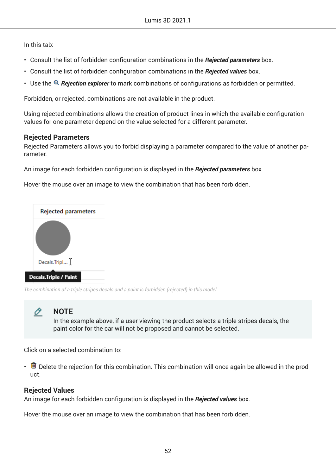In this tab:

- Consult the list of forbidden configuration combinations in the *Rejected parameters* box.
- Consult the list of forbidden configuration combinations in the *Rejected values* box.
- Use the *Rejection explorer* to mark combinations of configurations as forbidden or permitted.

Forbidden, or rejected, combinations are not available in the product.

Using rejected combinations allows the creation of product lines in which the available configuration values for one parameter depend on the value selected for a different parameter.

### **Rejected Parameters**

Rejected Parameters allows you to forbid displaying a parameter compared to the value of another parameter.

An image for each forbidden configuration is displayed in the *Rejected parameters* box.

Hover the mouse over an image to view the combination that has been forbidden.



*The combination of a triple stripes decals and a paint is forbidden (rejected) in this model.*



## **NOTE**

In the example above, if a user viewing the product selects a triple stripes decals, the paint color for the car will not be proposed and cannot be selected.

Click on a selected combination to:

•  $\Box$  Delete the rejection for this combination. This combination will once again be allowed in the product.

## **Rejected Values**

An image for each forbidden configuration is displayed in the *Rejected values* box.

Hover the mouse over an image to view the combination that has been forbidden.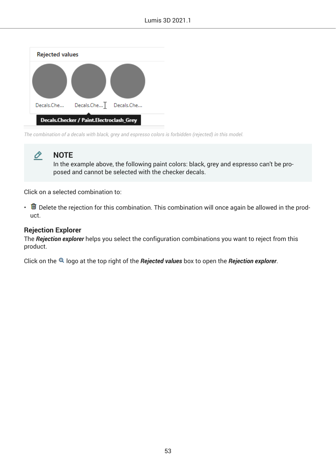| <b>Rejected values</b> |                                          |  |
|------------------------|------------------------------------------|--|
|                        |                                          |  |
|                        | Decals.Che Decals.Che Decals.Che         |  |
|                        | Decals.Checker / Paint.Electroclash_Grey |  |

*The combination of a decals with black, grey and espresso colors is forbidden (rejected) in this model.*



## **NOTE**

In the example above, the following paint colors: black, grey and espresso can't be proposed and cannot be selected with the checker decals.

Click on a selected combination to:

•  $\blacksquare$  Delete the rejection for this combination. This combination will once again be allowed in the product.

### **Rejection Explorer**

The *Rejection explorer* helps you select the configuration combinations you want to reject from this product.

Click on the logo at the top right of the *Rejected values* box to open the *Rejection explorer*.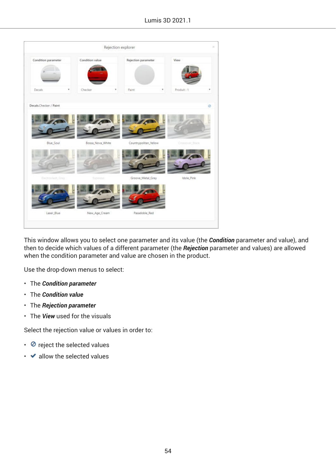|                        |   |                        | Rejection explorer |                            |   |                  |         |
|------------------------|---|------------------------|--------------------|----------------------------|---|------------------|---------|
| Condition parameter    |   | <b>Condition value</b> |                    | <b>Rejection parameter</b> |   | View             |         |
| Decals                 | ٠ | Checker                | ۳                  | Paint                      | ٠ | Produit: 1       | ٠       |
| Decals Checker / Paint |   |                        |                    |                            |   |                  | $\circ$ |
| <b>Blue Soul</b>       |   | Bossa Nova White       |                    | Countrypolitan_Yellow      |   | Crossover_filock |         |
| Dectministh, Grey.     |   | Espresso               |                    | Groove_Metal_Grey          |   | Idole Pink       |         |
|                        |   |                        |                    |                            |   |                  |         |

This window allows you to select one parameter and its value (the *Condition* parameter and value), and then to decide which values of a different parameter (the *Rejection* parameter and values) are allowed when the condition parameter and value are chosen in the product.

Use the drop-down menus to select:

- The *Condition parameter*
- The *Condition value*
- The *Rejection parameter*
- The *View* used for the visuals

Select the rejection value or values in order to:

- $\cdot$   $\circ$  reject the selected values
- $\cdot$   $\bullet$  allow the selected values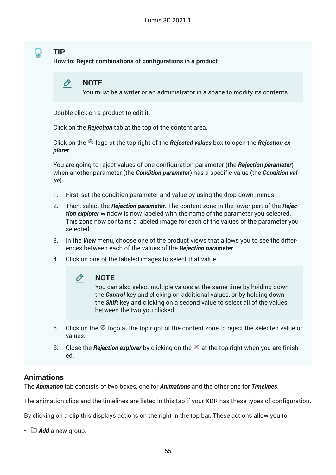**How to: Reject combinations of configurations in a product**



You must be a writer or an administrator in a space to modify its contents.

Double click on a product to edit it.

Click on the *Rejection* tab at the top of the content area.

Click on the <sup>Q</sup> logo at the top right of the *Rejected values* box to open the *Rejection explorer*.

You are going to reject values of one configuration parameter (the *Rejection parameter*) when another parameter (the *Condition parameter*) has a specific value (the *Condition value*).

- 1. First, set the condition parameter and value by using the drop-down menus.
- 2. Then, select the *Rejection parameter*. The content zone in the lower part of the *Rejection explorer* window is now labeled with the name of the parameter you selected. This zone now contains a labeled image for each of the values of the parameter you selected.
- 3. In the *View* menu, choose one of the product views that allows you to see the differences between each of the values of the *Rejection parameter*.
- 4. Click on one of the labeled images to select that value.



You can also select multiple values at the same time by holding down the *Control* key and clicking on additional values, or by holding down the *Shift* key and clicking on a second value to select all of the values between the two you clicked.

- 5. Click on the  $\circledcirc$  logo at the top right of the content zone to reject the selected value or values.
- 6. Close the *Rejection explorer* by clicking on the  $\leq$  at the top right when you are finished.

## **Animations**

The *Animation* tab consists of two boxes, one for *Animations* and the other one for *Timelines*.

The animation clips and the timelines are listed in this tab if your KDR has these types of configuration.

By clicking on a clip this displays actions on the right in the top bar. These actions allow you to:

• *Add* a new group.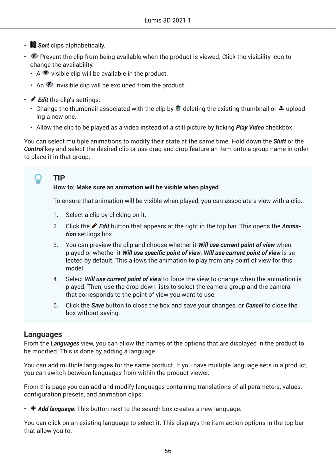- **Sort** clips alphabetically.
- $\bullet$  Prevent the clip from being available when the product is viewed. Click the visibility icon to change the availability:
	- $\cdot$  A  $\bullet$  visible clip will be available in the product.
	- An  $\bullet$  invisible clip will be excluded from the product.
- *Edit* the clip's settings:
	- Change the thumbnail associated with the clip by  $\blacksquare$  deleting the existing thumbnail or  $\clubsuit$  uploading a new one.
	- Allow the clip to be played as a video instead of a still picture by ticking *Play Video* checkbox.

You can select multiple animations to modify their state at the same time. Hold down the *Shift* or the *Control* key and select the desired clip or use drag and drop feature an item onto a group name in order to place it in that group.

## **TIP**

## **How to: Make sure an animation will be visible when played**

To ensure that animation will be visible when played, you can associate a view with a clip.

- 1. Select a clip by clicking on it.
- 2. Click the *Edit* button that appears at the right in the top bar. This opens the *Animation* settings box.
- 3. You can preview the clip and choose whether it *Will use current point of view* when played or whether it *Will use specific point of view. Will use current point of view* is selected by default. This allows the animation to play from any point of view for this model.
- 4. Select *Will use current point of view* to force the view to change when the animation is played. Then, use the drop-down lists to select the camera group and the camera that corresponds to the point of view you want to use.
- 5. Click the *Save* button to close the box and save your changes, or *Cancel* to close the box without saving.

## **Languages**

From the *Languages* view, you can allow the names of the options that are displayed in the product to be modified. This is done by adding a language.

You can add multiple languages for the same product. If you have multiple language sets in a product, you can switch between languages from within the product viewer.

From this page you can add and modify languages containing translations of all parameters, values, configuration presets, and animation clips:

• **+ Add language**: This button next to the search box creates a new language.

You can click on an existing language to select it. This displays the item action options in the top bar that allow you to: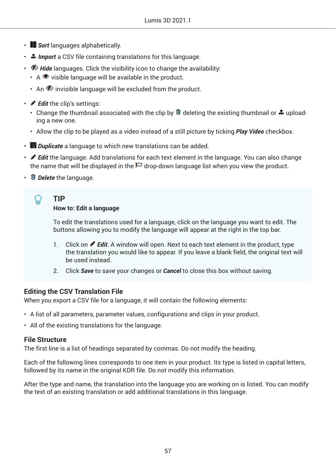- **Sort** languages alphabetically.
- **1** Import a CSV file containing translations for this language.
- *D* Hide languages. Click the visibility icon to change the availability:
	- $\cdot$  A  $\bullet$  visible language will be available in the product.
	- An  $\bullet$  invisible language will be excluded from the product.
- *Edit* the clip's settings:
	- Change the thumbnail associated with the clip by  $\blacksquare$  deleting the existing thumbnail or  $\clubsuit$  uploading a new one.
	- Allow the clip to be played as a video instead of a still picture by ticking *Play Video* checkbox.
- *Duplicate* a language to which new translations can be added.
- *Edit* the language. Add translations for each text element in the language. You can also change the name that will be displayed in the  $\boxdot$  drop-down language list when you view the product.
- *Delete* the language.

### **TIP How to: Edit a language**

To edit the translations used for a language, click on the language you want to edit. The buttons allowing you to modify the language will appear at the right in the top bar.

- 1. Click on **P** Edit. A window will open. Next to each text element in the product, type the translation you would like to appear. If you leave a blank field, the original text will be used instead.
- 2. Click *Save* to save your changes or *Cancel* to close this box without saving.

## **Editing the CSV Translation File**

When you export a CSV file for a language, it will contain the following elements:

- A list of all parameters, parameter values, configurations and clips in your product.
- All of the existing translations for the language.

## **File Structure**

The first line is a list of headings separated by commas. Do not modify the heading.

Each of the following lines corresponds to one item in your product. Its type is listed in capital letters, followed by its name in the original KDR file. Do not modify this information.

After the type and name, the translation into the language you are working on is listed. You can modify the text of an existing translation or add additional translations in this language.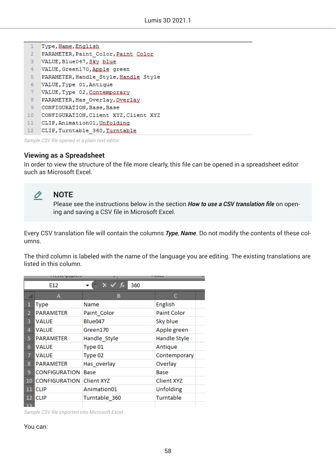|                 | Type, Name, English                   |
|-----------------|---------------------------------------|
| $\overline{2}$  | PARAMETER, Paint Color, Paint Color   |
| 3               | VALUE, Blue047, Sky blue              |
| 4               | VALUE, Green170, Apple green          |
| 5               | PARAMETER, Handle Style, Handle Style |
| 6               | VALUE, Type 01, Antique               |
| 7               | VALUE, Type 02, Contemporary          |
| 8               | PARAMETER, Has Overlay, Oxerlay       |
| 9               | CONFIGURATION, Base, Base             |
| 10 <sub>1</sub> | CONFIGURATION, Client XYZ, Client XYZ |
| 11              | CLIP, Animation01, Unfolding          |
| 12 <sub>2</sub> | CLIP, Turntable 360, Turntable        |
|                 |                                       |

*Sample CSV ƒle opened in a plain text editor.*

## **Viewing as a Spreadsheet**

In order to view the structure of the file more clearly, this file can be opened in a spreadsheet editor such as Microsoft Excel.



## **NOTE**

Please see the instructions below in the section *How to use a CSV translation file* on opening and saving a CSV file in Microsoft Excel.

Every CSV translation file will contain the columns *Type*, *Name*. Do not modify the contents of these columns.

The third column is labeled with the name of the language you are editing. The existing translations are listed in this column.

|                | <u>,,,,,,,,,,,,,,</u> |                   | , ,,,,,            |
|----------------|-----------------------|-------------------|--------------------|
|                | E12                   | fx<br>360<br>x v  |                    |
|                | A                     | в                 | c                  |
| 1              | <b>Type</b>           | Name              | English            |
| $\overline{2}$ | <b>PARAMETER</b>      | Paint Color       | <b>Paint Color</b> |
| 3              | VALUE                 | Blue047           | Sky blue           |
| 4              | VALUE                 | Green170          | Apple green        |
| 5              | <b>PARAMETER</b>      | Handle_Style      | Handle Style       |
| 6              | VALUE                 | Type 01           | Antique            |
| 7              | <b>VALUE</b>          | Type 02           | Contemporary       |
| 8              | <b>PARAMETER</b>      | Has overlay       | Overlay            |
| 9              | CONFIGURATION         | Base              | Base               |
| 10             | <b>CONFIGURATION</b>  | <b>Client XYZ</b> | <b>Client XYZ</b>  |
| 11             | <b>CLIP</b>           | Animation01       | Unfolding          |
| 12             | <b>CLIP</b>           | Turntable 360     | Turntable          |
| 13             |                       |                   |                    |

*Sample CSV ƒle imported into Microsoft Excel.*

You can: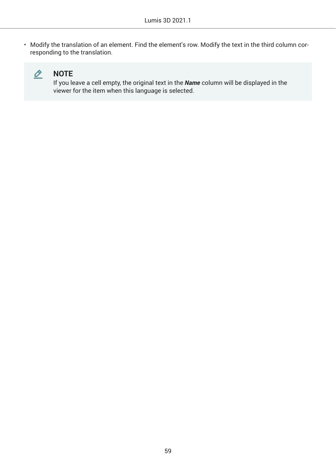• Modify the translation of an element. Find the element's row. Modify the text in the third column corresponding to the translation.



## **NOTE**

If you leave a cell empty, the original text in the *Name* column will be displayed in the viewer for the item when this language is selected.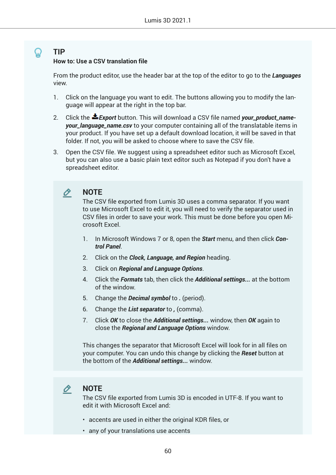### **How to: Use a CSV translation file**

From the product editor, use the header bar at the top of the editor to go to the *Languages* view.

- 1. Click on the language you want to edit. The buttons allowing you to modify the language will appear at the right in the top bar.
- 2. Click the *Export* button. This will download a CSV file named *your\_product\_nameyour\_language\_name.csv* to your computer containing all of the translatable items in your product. If you have set up a default download location, it will be saved in that folder. If not, you will be asked to choose where to save the CSV file.
- 3. Open the CSV file. We suggest using a spreadsheet editor such as Microsoft Excel, but you can also use a basic plain text editor such as Notepad if you don't have a spreadsheet editor.

#### O **NOTE**

The CSV file exported from Lumis 3D uses a comma separator. If you want to use Microsoft Excel to edit it, you will need to verify the separator used in CSV files in order to save your work. This must be done before you open Microsoft Excel.

- 1. In Microsoft Windows 7 or 8, open the *Start* menu, and then click *Control Panel*.
- 2. Click on the *Clock, Language, and Region* heading.
- 3. Click on *Regional and Language Options*.
- 4. Click the *Formats* tab, then click the *Additional settings...* at the bottom of the window.
- 5. Change the *Decimal symbol* to *.* (period).
- 6. Change the *List separator* to *,* (comma).
- 7. Click *OK* to close the *Additional settings...* window, then *OK* again to close the *Regional and Language Options* window.

This changes the separator that Microsoft Excel will look for in all files on your computer. You can undo this change by clicking the *Reset* button at the bottom of the *Additional settings...* window.

#### O. **NOTE**

The CSV file exported from Lumis 3D is encoded in UTF-8. If you want to edit it with Microsoft Excel and:

- accents are used in either the original KDR files, or
- any of your translations use accents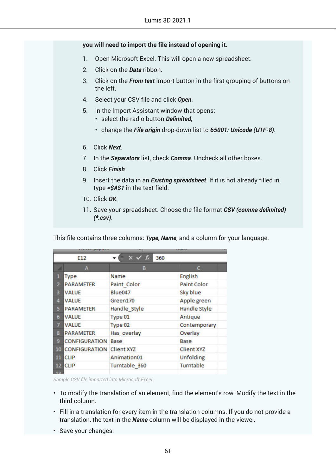### **you will need to import the file instead of opening it.**

- 1. Open Microsoft Excel. This will open a new spreadsheet.
- 2. Click on the *Data* ribbon.
- 3. Click on the *From text* import button in the first grouping of buttons on the left.
- 4. Select your CSV file and click *Open*.
- 5. In the Import Assistant window that opens:
	- select the radio button *Delimited*,
	- change the *File origin* drop-down list to *65001: Unicode (UTF-8)*.
- 6. Click *Next*.
- 7. In the *Separators* list, check *Comma*. Uncheck all other boxes.
- 8. Click *Finish*.
- 9. Insert the data in an *Existing spreadsheet*. If it is not already filled in, type *=\$A\$1* in the text field.
- 10. Click *OK*.
- 11. Save your spreadsheet. Choose the file format *CSV (comma delimited) (\*.csv)*.

This file contains three columns: *Type*, *Name*, and a column for your language.

|                         | <b>IF A STATE IN MINITED</b> |                     | .                   |
|-------------------------|------------------------------|---------------------|---------------------|
|                         | E <sub>12</sub>              | 360<br>$x \vee f_x$ |                     |
|                         | A                            | в                   | c                   |
| п                       | <b>Type</b>                  | Name                | English             |
| $\overline{\mathbf{2}}$ | <b>PARAMETER</b>             | Paint Color         | <b>Paint Color</b>  |
| 3                       | <b>VALUE</b>                 | Blue047             | Sky blue            |
| 4                       | <b>VALUE</b>                 | Green170            | Apple green         |
| 5                       | <b>PARAMETER</b>             | Handle Style        | <b>Handle Style</b> |
| 6                       | <b>VALUE</b>                 | Type 01             | Antique             |
| 7                       | <b>VALUE</b>                 | Type 02             | Contemporary        |
| 8                       | <b>PARAMETER</b>             | Has overlay         | Overlay             |
| 9.                      | <b>CONFIGURATION</b>         | Base                | Base                |
| 10                      | <b>CONFIGURATION</b>         | <b>Client XYZ</b>   | <b>Client XYZ</b>   |
| 11                      | <b>CLIP</b>                  | Animation01         | <b>Unfolding</b>    |
| 12                      | <b>CLIP</b>                  | Turntable 360       | Turntable           |
| 12                      |                              |                     |                     |

*Sample CSV ƒle imported into Microsoft Excel.*

- To modify the translation of an element, find the element's row. Modify the text in the third column.
- Fill in a translation for every item in the translation columns. If you do not provide a translation, the text in the *Name* column will be displayed in the viewer.
- Save your changes.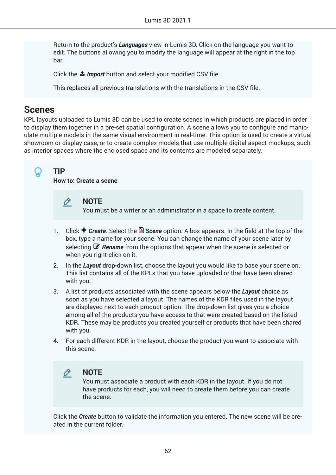Return to the product's *Languages* view in Lumis 3D. Click on the language you want to edit. The buttons allowing you to modify the language will appear at the right in the top bar.

Click the **1** Import button and select your modified CSV file.

This replaces all previous translations with the translations in the CSV file.

## **Scenes**

KPL layouts uploaded to Lumis 3D can be used to create scenes in which products are placed in order to display them together in a pre-set spatial configuration. A scene allows you to configure and manipulate multiple models in the same visual environment in real-time. This option is used to create a virtual showroom or display case, or to create complex models that use multiple digital aspect mockups, such as interior spaces where the enclosed space and its contents are modeled separately.

## **TIP**

**How to: Create a scene**

#### O **NOTE**

You must be a writer or an administrator in a space to create content.

- 1. Click **+ Create**. Select the & Scene option. A box appears. In the field at the top of the box, type a name for your scene. You can change the name of your scene later by selecting *Rename* from the options that appear when the scene is selected or when you right-click on it.
- 2. In the *Layout* drop-down list, choose the layout you would like to base your scene on. This list contains all of the KPLs that you have uploaded or that have been shared with you.
- 3. A list of products associated with the scene appears below the *Layout* choice as soon as you have selected a layout. The names of the KDR files used in the layout are displayed next to each product option. The drop-down list gives you a choice among all of the products you have access to that were created based on the listed KDR. These may be products you created yourself or products that have been shared with you.
- 4. For each different KDR in the layout, choose the product you want to associate with this scene.



## **NOTE**

You must associate a product with each KDR in the layout. If you do not have products for each, you will need to create them before you can create the scene.

Click the *Create* button to validate the information you entered. The new scene will be created in the current folder.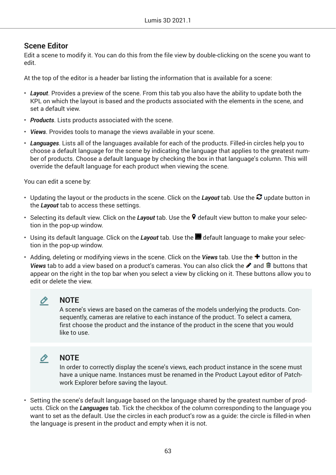## **Scene Editor**

Edit a scene to modify it. You can do this from the file view by double-clicking on the scene you want to edit.

At the top of the editor is a header bar listing the information that is available for a scene:

- *Layout*. Provides a preview of the scene. From this tab you also have the ability to update both the KPL on which the layout is based and the products associated with the elements in the scene, and set a default view.
- *Products*. Lists products associated with the scene.
- *Views*. Provides tools to manage the views available in your scene.
- *Languages*. Lists all of the languages available for each of the products. Filled-in circles help you to choose a default language for the scene by indicating the language that applies to the greatest number of products. Choose a default language by checking the box in that language's column. This will override the default language for each product when viewing the scene.

You can edit a scene by:

- Updating the layout or the products in the scene. Click on the Layout tab. Use the <sup>2</sup> update button in the *Layout* tab to access these settings.
- Selecting its default view. Click on the *Layout* tab. Use the **9** default view button to make your selection in the pop-up window.
- $\cdot$  Using its default language. Click on the *Layout* tab. Use the  $\blacksquare$  default language to make your selection in the pop-up window.
- Adding, deleting or modifying views in the scene. Click on the **Views** tab. Use the  $\bigstar$  button in the *Views* tab to add a view based on a product's cameras. You can also click the ♪ and <sup>m</sup> buttons that appear on the right in the top bar when you select a view by clicking on it. These buttons allow you to edit or delete the view.



## **NOTE**

**NOTE**

A scene's views are based on the cameras of the models underlying the products. Consequently, cameras are relative to each instance of the product. To select a camera, first choose the product and the instance of the product in the scene that you would like to use.

# O

In order to correctly display the scene's views, each product instance in the scene must have a unique name. Instances must be renamed in the Product Layout editor of Patchwork Explorer before saving the layout.

• Setting the scene's default language based on the language shared by the greatest number of products. Click on the *Languages* tab. Tick the checkbox of the column corresponding to the language you want to set as the default. Use the circles in each product's row as a guide: the circle is filled-in when the language is present in the product and empty when it is not.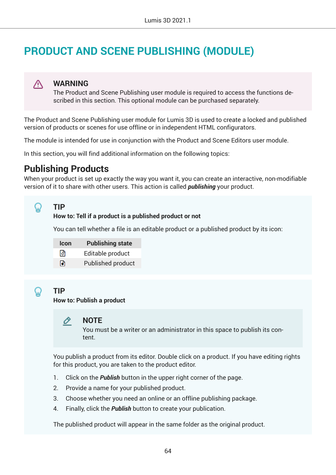# **PRODUCT AND SCENE PUBLISHING (MODULE)**

#### **WARNING** ∧

The Product and Scene Publishing user module is required to access the functions described in this section. This optional module can be purchased separately.

The Product and Scene Publishing user module for Lumis 3D is used to create a locked and published version of products or scenes for use offline or in independent HTML configurators.

The module is intended for use in conjunction with the Product and Scene Editors user module.

In this section, you will find additional information on the following topics:

# **Publishing Products**

When your product is set up exactly the way you want it, you can create an interactive, non-modifiable version of it to share with other users. This action is called *publishing* your product.

## **TIP**

### **How to: Tell if a product is a published product or not**

You can tell whether a file is an editable product or a published product by its icon:

| <b>Icon</b> | <b>Publishing state</b> |
|-------------|-------------------------|
| जि          | Editable product        |
| ∩           | Published product       |

## **TIP**

**How to: Publish a product**

#### **NOTE** 0

You must be a writer or an administrator in this space to publish its content.

You publish a product from its editor. Double click on a product. If you have editing rights for this product, you are taken to the product editor.

- 1. Click on the *Publish* button in the upper right corner of the page.
- 2. Provide a name for your published product.
- 3. Choose whether you need an online or an offline publishing package.
- 4. Finally, click the *Publish* button to create your publication.

The published product will appear in the same folder as the original product.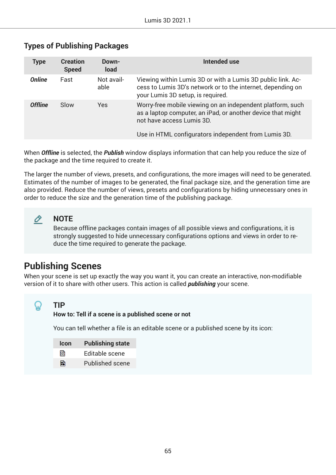| <b>Creation</b><br><b>Speed</b> | Down-<br><b>load</b> | Intended use                                                                                                                                                                                                   |
|---------------------------------|----------------------|----------------------------------------------------------------------------------------------------------------------------------------------------------------------------------------------------------------|
| Fast                            | Not avail-<br>able   | Viewing within Lumis 3D or with a Lumis 3D public link. Ac-<br>cess to Lumis 3D's network or to the internet, depending on<br>your Lumis 3D setup, is required.                                                |
| Slow                            | Yes                  | Worry-free mobile viewing on an independent platform, such<br>as a laptop computer, an iPad, or another device that might<br>not have access Lumis 3D.<br>Use in HTML configurators independent from Lumis 3D. |
|                                 |                      |                                                                                                                                                                                                                |

## **Types of Publishing Packages**

When *Offline* is selected, the *Publish* window displays information that can help you reduce the size of the package and the time required to create it.

The larger the number of views, presets, and configurations, the more images will need to be generated. Estimates of the number of images to be generated, the final package size, and the generation time are also provided. Reduce the number of views, presets and configurations by hiding unnecessary ones in order to reduce the size and the generation time of the publishing package.

#### O **NOTE**

Because offline packages contain images of all possible views and configurations, it is strongly suggested to hide unnecessary configurations options and views in order to reduce the time required to generate the package.

# **Publishing Scenes**

When your scene is set up exactly the way you want it, you can create an interactive, non-modifiable version of it to share with other users. This action is called *publishing* your scene.

## **TIP**

### **How to: Tell if a scene is a published scene or not**

You can tell whether a file is an editable scene or a published scene by its icon:

| <b>Icon</b> | <b>Publishing state</b> |
|-------------|-------------------------|
| ା⊗          | Editable scene          |
| la9         | <b>Published scene</b>  |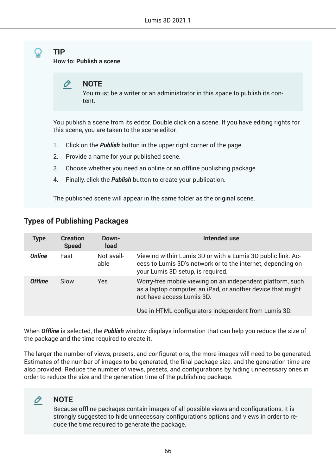**How to: Publish a scene**

#### Ò **NOTE**

You must be a writer or an administrator in this space to publish its content.

You publish a scene from its editor. Double click on a scene. If you have editing rights for this scene, you are taken to the scene editor.

- 1. Click on the *Publish* button in the upper right corner of the page.
- 2. Provide a name for your published scene.
- 3. Choose whether you need an online or an offline publishing package.
- 4. Finally, click the *Publish* button to create your publication.

The published scene will appear in the same folder as the original scene.

## **Types of Publishing Packages**

| <b>Type</b>    | <b>Creation</b><br><b>Speed</b> | Down-<br><b>load</b> | Intended use                                                                                                                                                                                                   |
|----------------|---------------------------------|----------------------|----------------------------------------------------------------------------------------------------------------------------------------------------------------------------------------------------------------|
| <b>Online</b>  | Fast                            | Not avail-<br>able   | Viewing within Lumis 3D or with a Lumis 3D public link. Ac-<br>cess to Lumis 3D's network or to the internet, depending on<br>your Lumis 3D setup, is required.                                                |
| <b>Offline</b> | Slow                            | Yes                  | Worry-free mobile viewing on an independent platform, such<br>as a laptop computer, an iPad, or another device that might<br>not have access Lumis 3D.<br>Use in HTML configurators independent from Lumis 3D. |

When *Offline* is selected, the *Publish* window displays information that can help you reduce the size of the package and the time required to create it.

The larger the number of views, presets, and configurations, the more images will need to be generated. Estimates of the number of images to be generated, the final package size, and the generation time are also provided. Reduce the number of views, presets, and configurations by hiding unnecessary ones in order to reduce the size and the generation time of the publishing package.

#### **NOTE** O

Because offline packages contain images of all possible views and configurations, it is strongly suggested to hide unnecessary configurations options and views in order to reduce the time required to generate the package.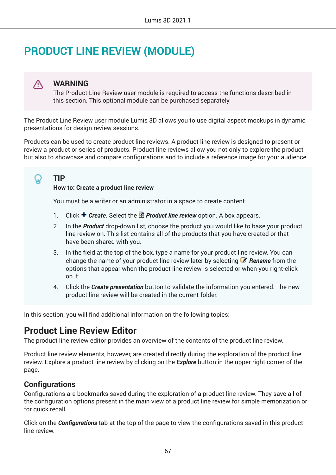# **PRODUCT LINE REVIEW (MODULE)**

#### **WARNING** W

The Product Line Review user module is required to access the functions described in this section. This optional module can be purchased separately.

The Product Line Review user module Lumis 3D allows you to use digital aspect mockups in dynamic presentations for design review sessions.

Products can be used to create product line reviews. A product line review is designed to present or review a product or series of products. Product line reviews allow you not only to explore the product but also to showcase and compare configurations and to include a reference image for your audience.

**TIP**

### **How to: Create a product line review**

You must be a writer or an administrator in a space to create content.

- 1. Click **+ Create**. Select the *Product line review* option. A box appears.
- 2. In the *Product* drop-down list, choose the product you would like to base your product line review on. This list contains all of the products that you have created or that have been shared with you.
- 3. In the field at the top of the box, type a name for your product line review. You can change the name of your product line review later by selecting *Rename* from the options that appear when the product line review is selected or when you right-click on it.
- 4. Click the *Create presentation* button to validate the information you entered. The new product line review will be created in the current folder.

In this section, you will find additional information on the following topics:

# **Product Line Review Editor**

The product line review editor provides an overview of the contents of the product line review.

Product line review elements, however, are created directly during the exploration of the product line review. Explore a product line review by clicking on the *Explore* button in the upper right corner of the page.

## **Configurations**

Configurations are bookmarks saved during the exploration of a product line review. They save all of the configuration options present in the main view of a product line review for simple memorization or for quick recall.

Click on the **Configurations** tab at the top of the page to view the configurations saved in this product line review.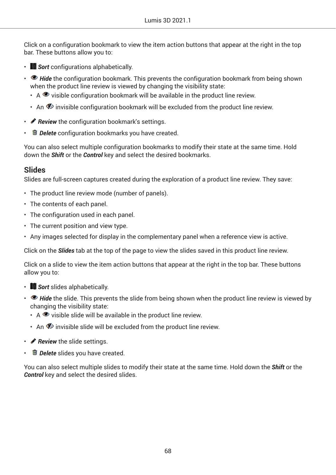Click on a configuration bookmark to view the item action buttons that appear at the right in the top bar. These buttons allow you to:

- **F** *Sort* configurations alphabetically.
- *Hide* the configuration bookmark. This prevents the configuration bookmark from being shown when the product line review is viewed by changing the visibility state:
	- $\cdot$  A  $\bullet$  visible configuration bookmark will be available in the product line review.
	- An  $\mathcal P$  invisible configuration bookmark will be excluded from the product line review.
- *P* Review the configuration bookmark's settings.
- *Delete* configuration bookmarks you have created.

You can also select multiple configuration bookmarks to modify their state at the same time. Hold down the *Shift* or the *Control* key and select the desired bookmarks.

## **Slides**

Slides are full-screen captures created during the exploration of a product line review. They save:

- The product line review mode (number of panels).
- The contents of each panel.
- The configuration used in each panel.
- The current position and view type.
- Any images selected for display in the complementary panel when a reference view is active.

Click on the *Slides* tab at the top of the page to view the slides saved in this product line review.

Click on a slide to view the item action buttons that appear at the right in the top bar. These buttons allow you to:

- **Sort** slides alphabetically.
- **Hide** the slide. This prevents the slide from being shown when the product line review is viewed by changing the visibility state:
	- $\cdot$  A  $\bullet$  visible slide will be available in the product line review.
	- An  $\Phi$  invisible slide will be excluded from the product line review.
- *P* Review the slide settings.
- *IDelete* slides you have created.

You can also select multiple slides to modify their state at the same time. Hold down the *Shift* or the *Control* key and select the desired slides.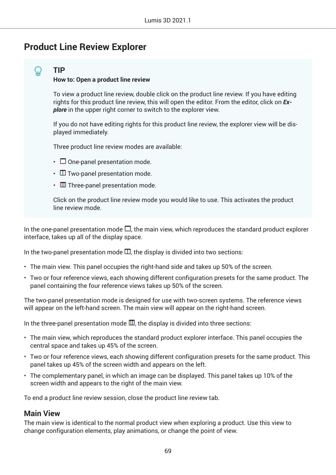# **Product Line Review Explorer**

## **TIP**

### **How to: Open a product line review**

To view a product line review, double click on the product line review. If you have editing rights for this product line review, this will open the editor. From the editor, click on *Explore* in the upper right corner to switch to the explorer view.

If you do not have editing rights for this product line review, the explorer view will be displayed immediately.

Three product line review modes are available:

- $\cdot$   $\Box$  One-panel presentation mode.
- $\Box$  Two-panel presentation mode.
- $\cdot$   $\Box$  Three-panel presentation mode.

Click on the product line review mode you would like to use. This activates the product line review mode.

In the one-panel presentation mode  $\Box$ , the main view, which reproduces the standard product explorer interface, takes up all of the display space.

In the two-panel presentation mode  $\Box$ , the display is divided into two sections:

- The main view. This panel occupies the right-hand side and takes up 50% of the screen.
- Two or four reference views, each showing different configuration presets for the same product. The panel containing the four reference views takes up 50% of the screen.

The two-panel presentation mode is designed for use with two-screen systems. The reference views will appear on the left-hand screen. The main view will appear on the right-hand screen.

In the three-panel presentation mode  $\mathbb{I}$ , the display is divided into three sections:

- The main view, which reproduces the standard product explorer interface. This panel occupies the central space and takes up 45% of the screen.
- Two or four reference views, each showing different configuration presets for the same product. This panel takes up 45% of the screen width and appears on the left.
- The complementary panel, in which an image can be displayed. This panel takes up 10% of the screen width and appears to the right of the main view.

To end a product line review session, close the product line review tab.

## **Main View**

The main view is identical to the normal product view when exploring a product. Use this view to change configuration elements, play animations, or change the point of view.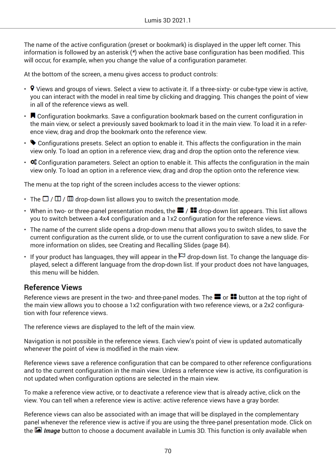The name of the active configuration (preset or bookmark) is displayed in the upper left corner. This information is followed by an asterisk (*\**) when the active base configuration has been modified. This will occur, for example, when you change the value of a configuration parameter.

At the bottom of the screen, a menu gives access to product controls:

- $\cdot$  9 Views and groups of views. Select a view to activate it. If a three-sixty- or cube-type view is active, you can interact with the model in real time by clicking and dragging. This changes the point of view in all of the reference views as well.
- $\cdot$   $\blacksquare$  Configuration bookmarks. Save a configuration bookmark based on the current configuration in the main view, or select a previously saved bookmark to load it in the main view. To load it in a reference view, drag and drop the bookmark onto the reference view.
- $\cdot$   $\blacklozenge$  Configurations presets. Select an option to enable it. This affects the configuration in the main view only. To load an option in a reference view, drag and drop the option onto the reference view.
- $\cdot$  Configuration parameters. Select an option to enable it. This affects the configuration in the main view only. To load an option in a reference view, drag and drop the option onto the reference view.

The menu at the top right of the screen includes access to the viewer options:

- The  $\Box / \Box / \Box$  drop-down list allows you to switch the presentation mode.
- When in two- or three-panel presentation modes, the  $\blacksquare$  /  $\blacksquare$  drop-down list appears. This list allows you to switch between a 4x4 configuration and a 1x2 configuration for the reference views.
- The name of the current slide opens a drop-down menu that allows you to switch slides, to save the current configuration as the current slide, or to use the current configuration to save a new slide. For more information on slides, see Creating and Recalling Slides (page 84).
- If your product has languages, they will appear in the  $\Box$  drop-down list. To change the language displayed, select a different language from the drop-down list. If your product does not have languages, this menu will be hidden.

## **Reference Views**

Reference views are present in the two- and three-panel modes. The  $\blacksquare$  or  $\blacksquare$  button at the top right of the main view allows you to choose a 1x2 configuration with two reference views, or a 2x2 configuration with four reference views.

The reference views are displayed to the left of the main view.

Navigation is not possible in the reference views. Each view's point of view is updated automatically whenever the point of view is modified in the main view.

Reference views save a reference configuration that can be compared to other reference configurations and to the current configuration in the main view. Unless a reference view is active, its configuration is not updated when configuration options are selected in the main view.

To make a reference view active, or to deactivate a reference view that is already active, click on the view. You can tell when a reference view is active: active reference views have a gray border.

Reference views can also be associated with an image that will be displayed in the complementary panel whenever the reference view is active if you are using the three-panel presentation mode. Click on the *Image* button to choose a document available in Lumis 3D. This function is only available when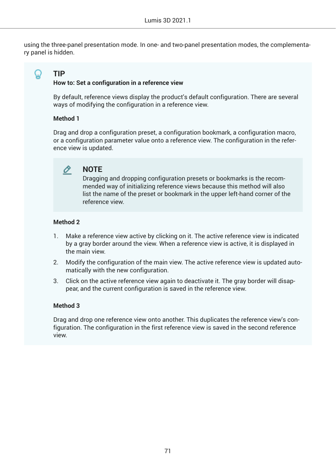using the three-panel presentation mode. In one- and two-panel presentation modes, the complementary panel is hidden.

**TIP**

### **How to: Set a configuration in a reference view**

By default, reference views display the product's default configuration. There are several ways of modifying the configuration in a reference view.

### **Method 1**

Drag and drop a configuration preset, a configuration bookmark, a configuration macro, or a configuration parameter value onto a reference view. The configuration in the reference view is updated.

#### O **NOTE**

Dragging and dropping configuration presets or bookmarks is the recommended way of initializing reference views because this method will also list the name of the preset or bookmark in the upper left-hand corner of the reference view.

### **Method 2**

- 1. Make a reference view active by clicking on it. The active reference view is indicated by a gray border around the view. When a reference view is active, it is displayed in the main view.
- 2. Modify the configuration of the main view. The active reference view is updated automatically with the new configuration.
- 3. Click on the active reference view again to deactivate it. The gray border will disappear, and the current configuration is saved in the reference view.

## **Method 3**

Drag and drop one reference view onto another. This duplicates the reference view's configuration. The configuration in the first reference view is saved in the second reference view.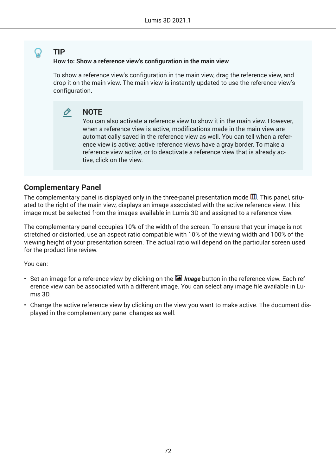## **How to: Show a reference view's configuration in the main view**

To show a reference view's configuration in the main view, drag the reference view, and drop it on the main view. The main view is instantly updated to use the reference view's configuration.

#### **NOTE** O

You can also activate a reference view to show it in the main view. However, when a reference view is active, modifications made in the main view are automatically saved in the reference view as well. You can tell when a reference view is active: active reference views have a gray border. To make a reference view active, or to deactivate a reference view that is already active, click on the view.

## **Complementary Panel**

The complementary panel is displayed only in the three-panel presentation mode  $\mathbb{I}$ . This panel, situated to the right of the main view, displays an image associated with the active reference view. This image must be selected from the images available in Lumis 3D and assigned to a reference view.

The complementary panel occupies 10% of the width of the screen. To ensure that your image is not stretched or distorted, use an aspect ratio compatible with 10% of the viewing width and 100% of the viewing height of your presentation screen. The actual ratio will depend on the particular screen used for the product line review.

You can:

- Set an image for a reference view by clicking on the *Image* button in the reference view. Each reference view can be associated with a different image. You can select any image file available in Lumis 3D.
- Change the active reference view by clicking on the view you want to make active. The document displayed in the complementary panel changes as well.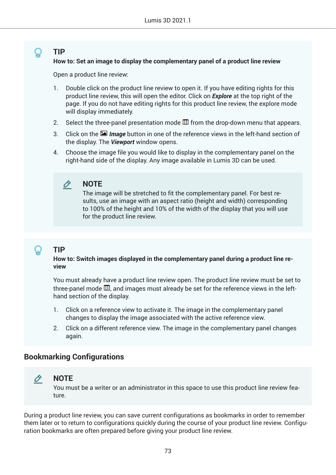#### <span id="page-72-0"></span>**TIP How to: Set an image to display the complementary panel of a product line review**

Open a product line review:

- 1. Double click on the product line review to open it. If you have editing rights for this product line review, this will open the editor. Click on *Explore* at the top right of the page. If you do not have editing rights for this product line review, the explore mode will display immediately.
- 2. Select the three-panel presentation mode  $\overline{m}$  from the drop-down menu that appears.
- 3. Click on the *Image* button in one of the reference views in the left-hand section of the display. The *Viewport* window opens.
- 4. Choose the image file you would like to display in the complementary panel on the right-hand side of the display. Any image available in Lumis 3D can be used.

#### O **NOTE**

The image will be stretched to fit the complementary panel. For best results, use an image with an aspect ratio (height and width) corresponding to 100% of the height and 10% of the width of the display that you will use for the product line review.

### **TIP**

#### **How to: Switch images displayed in the complementary panel during a product line review**

You must already have a product line review open. The product line review must be set to three-panel mode  $\overline{w}$ , and images must already be set for the reference views in the lefthand section of the display.

- 1. Click on a reference view to activate it. The image in the complementary panel changes to display the image associated with the active reference view.
- 2. Click on a different reference view. The image in the complementary panel changes again.

#### **Bookmarking Configurations**

## O

**NOTE**

You must be a writer or an administrator in this space to use this product line review feature.

During a product line review, you can save current configurations as bookmarks in order to remember them later or to return to configurations quickly during the course of your product line review. Configuration bookmarks are often prepared before giving your product line review.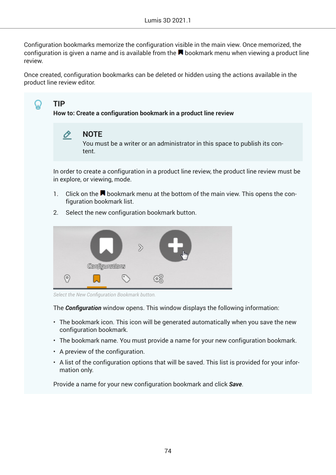<span id="page-73-0"></span>Configuration bookmarks memorize the configuration visible in the main view. Once memorized, the configuration is given a name and is available from the  $\blacksquare$  bookmark menu when viewing a product line review.

Once created, configuration bookmarks can be deleted or hidden using the actions available in the product line review editor.



The **Configuration** window opens. This window displays the following information:

- The bookmark icon. This icon will be generated automatically when you save the new configuration bookmark.
- The bookmark name. You must provide a name for your new configuration bookmark.
- A preview of the configuration.
- A list of the configuration options that will be saved. This list is provided for your information only.

Provide a name for your new configuration bookmark and click *Save*.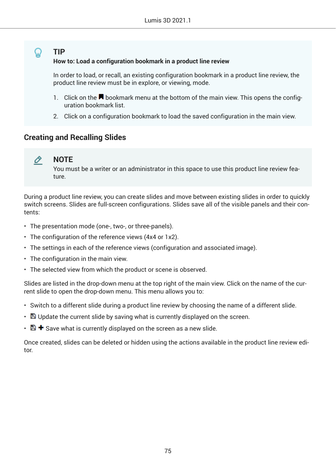### <span id="page-74-0"></span>**TIP**

#### **How to: Load a configuration bookmark in a product line review**

In order to load, or recall, an existing configuration bookmark in a product line review, the product line review must be in explore, or viewing, mode.

- 1. Click on the  $\blacksquare$  bookmark menu at the bottom of the main view. This opens the configuration bookmark list.
- 2. Click on a configuration bookmark to load the saved configuration in the main view.

#### **Creating and Recalling Slides**

#### O **NOTE**

You must be a writer or an administrator in this space to use this product line review feature.

During a product line review, you can create slides and move between existing slides in order to quickly switch screens. Slides are full-screen configurations. Slides save all of the visible panels and their contents:

- The presentation mode (one-, two-, or three-panels).
- The configuration of the reference views (4x4 or 1x2).
- The settings in each of the reference views (configuration and associated image).
- The configuration in the main view.
- The selected view from which the product or scene is observed.

Slides are listed in the drop-down menu at the top right of the main view. Click on the name of the current slide to open the drop-down menu. This menu allows you to:

- Switch to a different slide during a product line review by choosing the name of a different slide.
- $\cdot$   $\blacksquare$  Update the current slide by saving what is currently displayed on the screen.
- $\Box$   $\blacktriangleright$  Save what is currently displayed on the screen as a new slide.

Once created, slides can be deleted or hidden using the actions available in the product line review editor.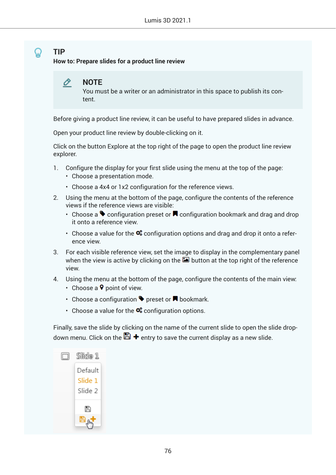## <span id="page-75-0"></span>**TIP**

**How to: Prepare slides for a product line review**



You must be a writer or an administrator in this space to publish its content.

Before giving a product line review, it can be useful to have prepared slides in advance.

Open your product line review by double-clicking on it.

Click on the button Explore at the top right of the page to open the product line review explorer.

- 1. Configure the display for your first slide using the menu at the top of the page:
	- Choose a presentation mode.
	- Choose a 4x4 or 1x2 configuration for the reference views.
- 2. Using the menu at the bottom of the page, configure the contents of the reference views if the reference views are visible:
	- Choose a  $\blacklozenge$  configuration preset or  $\blacktriangledown$  configuration bookmark and drag and drop it onto a reference view.
	- Choose a value for the  $\ddot{\mathbf{x}}$  configuration options and drag and drop it onto a reference view.
- 3. For each visible reference view, set the image to display in the complementary panel when the view is active by clicking on the  $\blacksquare$  button at the top right of the reference view.
- 4. Using the menu at the bottom of the page, configure the contents of the main view:
	- Choose a  $\triangledown$  point of view.
	- Choose a configuration  $\blacktriangleright$  preset or  $\blacktriangleright$  bookmark.
	- Choose a value for the  $\mathbf{\Phi}_{\mathbf{s}}^*$  configuration options.

Finally, save the slide by clicking on the name of the current slide to open the slide dropdown menu. Click on the  $\blacksquare$  + entry to save the current display as a new slide.

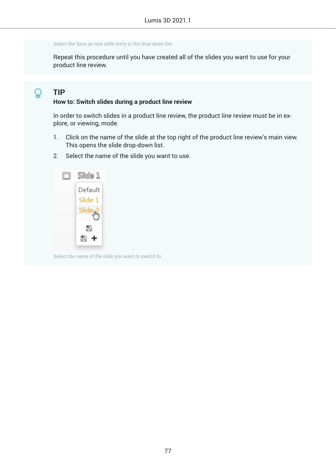<span id="page-76-0"></span>*Select the Save as new slide entry in the drop-down list.*

Repeat this procedure until you have created all of the slides you want to use for your product line review.

#### **TIP** Ω

#### **How to: Switch slides during a product line review**

In order to switch slides in a product line review, the product line review must be in explore, or viewing, mode.

- 1. Click on the name of the slide at the top right of the product line review's main view. This opens the slide drop-down list.
- 2. Select the name of the slide you want to use.



*Select the name of the slide you want to switch to.*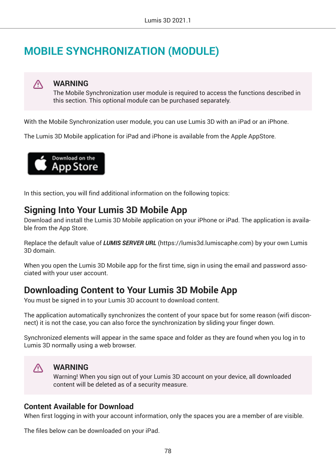# **MOBILE SYNCHRONIZATION (MODULE)**



#### **WARNING**

The Mobile Synchronization user module is required to access the functions described in this section. This optional module can be purchased separately.

With the Mobile Synchronization user module, you can use Lumis 3D with an iPad or an iPhone.

The Lumis 3D Mobile application for iPad and iPhone is available from the Apple AppStore.



In this section, you will find additional information on the following topics:

## **Signing Into Your Lumis 3D Mobile App**

Download and install the Lumis 3D Mobile application on your iPhone or iPad. The application is available from the App Store.

Replace the default value of *LUMIS SERVER URL* (https://lumis3d.lumiscaphe.com) by your own Lumis 3D domain.

When you open the Lumis 3D Mobile app for the first time, sign in using the email and password associated with your user account.

## **Downloading Content to Your Lumis 3D Mobile App**

You must be signed in to your Lumis 3D account to download content.

The application automatically synchronizes the content of your space but for some reason (wifi disconnect) it is not the case, you can also force the synchronization by sliding your finger down.

Synchronized elements will appear in the same space and folder as they are found when you log in to Lumis 3D normally using a web browser.



#### **WARNING**

Warning! When you sign out of your Lumis 3D account on your device, all downloaded content will be deleted as of a security measure.

#### **Content Available for Download**

When first logging in with your account information, only the spaces you are a member of are visible.

The files below can be downloaded on your iPad.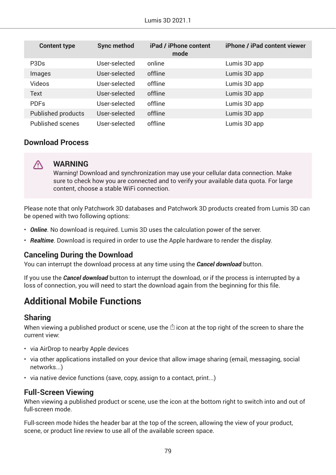| <b>Content type</b>           | <b>Sync method</b> | iPad / iPhone content<br>mode | iPhone / iPad content viewer |
|-------------------------------|--------------------|-------------------------------|------------------------------|
| P <sub>3</sub> D <sub>s</sub> | User-selected      | online                        | Lumis 3D app                 |
| Images                        | User-selected      | offline                       | Lumis 3D app                 |
| <b>Videos</b>                 | User-selected      | offline                       | Lumis 3D app                 |
| <b>Text</b>                   | User-selected      | offline                       | Lumis 3D app                 |
| <b>PDFs</b>                   | User-selected      | offline                       | Lumis 3D app                 |
| <b>Published products</b>     | User-selected      | offline                       | Lumis 3D app                 |
| <b>Published scenes</b>       | User-selected      | offline                       | Lumis 3D app                 |

#### **Download Process**



#### **WARNING**

Warning! Download and synchronization may use your cellular data connection. Make sure to check how you are connected and to verify your available data quota. For large content, choose a stable WiFi connection.

Please note that only Patchwork 3D databases and Patchwork 3D products created from Lumis 3D can be opened with two following options:

- *Online*. No download is required. Lumis 3D uses the calculation power of the server.
- *Realtime*. Download is required in order to use the Apple hardware to render the display.

#### **Canceling During the Download**

You can interrupt the download process at any time using the *Cancel download* button.

If you use the *Cancel download* button to interrupt the download, or if the process is interrupted by a loss of connection, you will need to start the download again from the beginning for this file.

## **Additional Mobile Functions**

#### **Sharing**

When viewing a published product or scene, use the  $\mathbb{\hat{D}}$  icon at the top right of the screen to share the current view:

- via AirDrop to nearby Apple devices
- via other applications installed on your device that allow image sharing (email, messaging, social networks...)
- via native device functions (save, copy, assign to a contact, print...)

### **Full-Screen Viewing**

When viewing a published product or scene, use the icon at the bottom right to switch into and out of full-screen mode.

Full-screen mode hides the header bar at the top of the screen, allowing the view of your product, scene, or product line review to use all of the available screen space.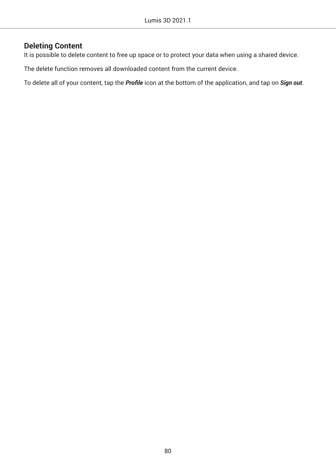### **Deleting Content**

It is possible to delete content to free up space or to protect your data when using a shared device.

The delete function removes all downloaded content from the current device.

To delete all of your content, tap the *Profile* icon at the bottom of the application, and tap on *Sign out*.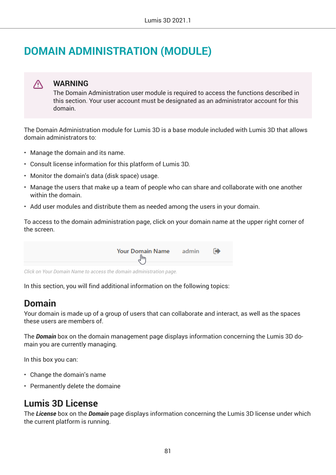# **DOMAIN ADMINISTRATION (MODULE)**

### **WARNING**

∧

The Domain Administration user module is required to access the functions described in this section. Your user account must be designated as an administrator account for this domain.

The Domain Administration module for Lumis 3D is a base module included with Lumis 3D that allows domain administrators to:

- Manage the domain and its name.
- Consult license information for this platform of Lumis 3D.
- Monitor the domain's data (disk space) usage.
- Manage the users that make up a team of people who can share and collaborate with one another within the domain.
- Add user modules and distribute them as needed among the users in your domain.

To access to the domain administration page, click on your domain name at the upper right corner of the screen.

**Your Domain Name** admin **G** ᠊¶

*Click on Your Domain Name to access the domain administration page.*

In this section, you will find additional information on the following topics:

## **Domain**

Your domain is made up of a group of users that can collaborate and interact, as well as the spaces these users are members of.

The *Domain* box on the domain management page displays information concerning the Lumis 3D domain you are currently managing.

In this box you can:

- Change the domain's name
- Permanently delete the domaine

## **Lumis 3D License**

The *License* box on the *Domain* page displays information concerning the Lumis 3D license under which the current platform is running.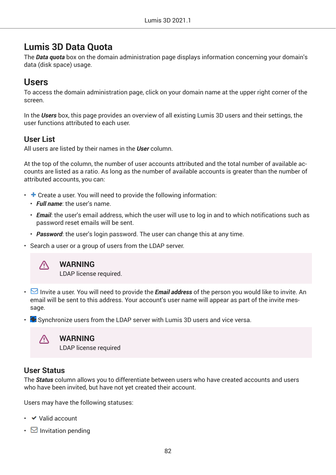## **Lumis 3D Data Quota**

The *Data quota* box on the domain administration page displays information concerning your domain's data (disk space) usage.

## **Users**

To access the domain administration page, click on your domain name at the upper right corner of the screen.

In the *Users* box, this page provides an overview of all existing Lumis 3D users and their settings, the user functions attributed to each user.

### **User List**

All users are listed by their names in the *User* column.

At the top of the column, the number of user accounts attributed and the total number of available accounts are listed as a ratio. As long as the number of available accounts is greater than the number of attributed accounts, you can:

- $\cdot$  + Create a user. You will need to provide the following information:
	- *Full name*: the user's name.
	- *Email*: the user's email address, which the user will use to log in and to which notifications such as password reset emails will be sent.
	- *Password*: the user's login password. The user can change this at any time.
- Search a user or a group of users from the LDAP server.



#### **WARNING**

LDAP license required.

- Invite a user. You will need to provide the *Email address* of the person you would like to invite. An email will be sent to this address. Your account's user name will appear as part of the invite message.
- $\cdot$  Synchronize users from the LDAP server with Lumis 3D users and vice versa.



#### **WARNING**

LDAP license required

#### **User Status**

The *Status* column allows you to differentiate between users who have created accounts and users who have been invited, but have not yet created their account.

Users may have the following statuses:

- Valid account
- $\boxdot$  Invitation pending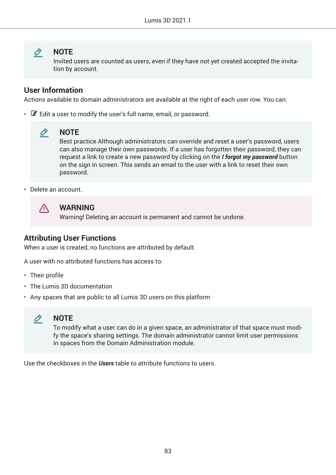#### O **NOTE**

Invited users are counted as users, even if they have not yet created accepted the invitation by account.

### **User Information**

Actions available to domain administrators are available at the right of each user row. You can:

 $\cdot$   $\bullet$  Edit a user to modify the user's full name, email, or password.



#### **NOTE**

Best practice Although administrators can override and reset a user's password, users can also manage their own passwords. If a user has forgotten their password, they can request a link to create a new password by clicking on the *I forgot my password* button on the sign in screen. This sends an email to the user with a link to reset their own password.

• Delete an account.



#### **WARNING**

Warning! Deleting an account is permanent and cannot be undone.

### **Attributing User Functions**

When a user is created, no functions are attributed by default.

A user with no attributed functions has access to:

- Their profile
- The Lumis 3D documentation
- Any spaces that are public to all Lumis 3D users on this platform



To modify what a user can do in a given space, an administrator of that space must modify the space's sharing settings. The domain administrator cannot limit user permissions in spaces from the Domain Administration module.

Use the checkboxes in the *Users* table to attribute functions to users.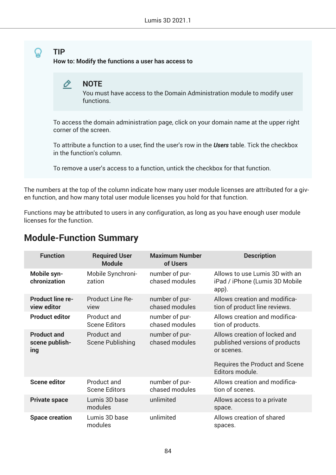#### <span id="page-83-0"></span>**TIP How to: Modify the functions a user has access to**



You must have access to the Domain Administration module to modify user functions.

To access the domain administration page, click on your domain name at the upper right corner of the screen.

To attribute a function to a user, find the user's row in the *Users* table. Tick the checkbox in the function's column.

To remove a user's access to a function, untick the checkbox for that function.

The numbers at the top of the column indicate how many user module licenses are attributed for a given function, and how many total user module licenses you hold for that function.

Functions may be attributed to users in any configuration, as long as you have enough user module licenses for the function.

#### **Function Required User Module Maximum Number of Users Description Mobile synchronization** Mobile Synchronization number of purchased modules Allows to use Lumis 3D with an iPad / iPhone (Lumis 3D Mobile app). **Product line review editor** Product Line Review number of purchased modules Allows creation and modification of product line reviews. **Product editor** Product and Scene Editors number of purchased modules Allows creation and modification of products. **Product and scene publishing** Product and Scene Publishing number of purchased modules Allows creation of locked and published versions of products or scenes. Requires the Product and Scene Editors module. **Scene editor** Product and Scene Editors number of purchased modules Allows creation and modification of scenes. **Private space** Lumis 3D base modules unlimited Allows access to a private space. **Space creation** Lumis 3D base modules unlimited Allows creation of shared spaces.

## **Module-Function Summary**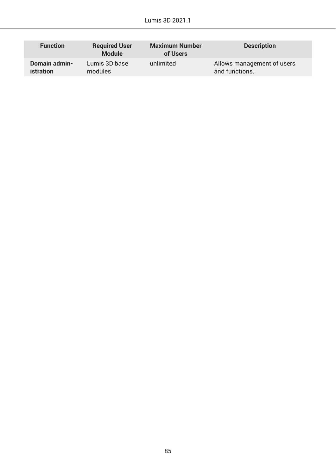| <b>Function</b>  | <b>Required User</b><br><b>Module</b> | <b>Maximum Number</b><br>of Users | <b>Description</b>         |
|------------------|---------------------------------------|-----------------------------------|----------------------------|
| Domain admin-    | Lumis 3D base                         | unlimited                         | Allows management of users |
| <i>istration</i> | modules                               |                                   | and functions.             |

ſ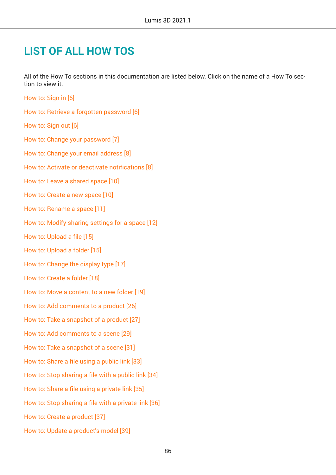## **LIST OF ALL HOW TOS**

All of the How To sections in this documentation are listed below. Click on the name of a How To section to view it.

- [How to: Sign in \[6\]](#page-5-0) [How to: Retrieve a forgotten password \[6\]](#page-5-0) [How to: Sign out \[6\]](#page-5-0) [How to: Change your password \[7\]](#page-6-0) [How to: Change your email address \[8\]](#page-7-0) [How to: Activate or deactivate notifications \[8\]](#page-7-0) [How to: Leave a shared space \[10\]](#page-9-0) [How to: Create a new space \[10\]](#page-9-0) [How to: Rename a space \[11\]](#page-10-0) [How to: Modify sharing settings for a space \[12\]](#page-11-0) [How to: Upload a file \[15\]](#page-14-0) [How to: Upload a folder \[15\]](#page-14-0) [How to: Change the display type \[17\]](#page-16-0) [How to: Create a folder \[18\]](#page-17-0) [How to: Move a content to a new folder \[19\]](#page-18-0)
- [How to: Add comments to a product \[26\]](#page-25-0)
- [How to: Take a snapshot of a product \[27\]](#page-26-0)
- [How to: Add comments to a scene \[29\]](#page-28-0)
- [How to: Take a snapshot of a scene \[31\]](#page-30-0)
- [How to: Share a file using a public link \[33\]](#page-32-0)
- [How to: Stop sharing a file with a public link \[34\]](#page-33-0)
- [How to: Share a file using a private link \[35\]](#page-34-0)
- [How to: Stop sharing a file with a private link \[36\]](#page-35-0)
- [How to: Create a product \[37\]](#page-36-0)
- [How to: Update a product's model \[39\]](#page-38-0)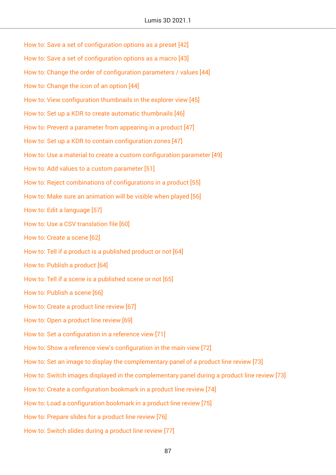[How to: Save a set of configuration options as a preset \[42\]](#page-41-0) [How to: Save a set of configuration options as a macro \[43\]](#page-42-0) [How to: Change the order of configuration parameters / values \[44\]](#page-43-0) [How to: Change the icon of an option \[44\]](#page-43-0) [How to: View configuration thumbnails in the explorer view \[45\]](#page-44-0) [How to: Set up a KDR to create automatic thumbnails \[46\]](#page-45-0) [How to: Prevent a parameter from appearing in a product \[47\]](#page-46-0) [How to: Set up a KDR to contain configuration zones \[47\]](#page-46-0) [How to: Use a material to create a custom configuration parameter \[49\]](#page-48-0) [How to: Add values to a custom parameter \[51\]](#page-50-0) [How to: Reject combinations of configurations in a product \[55\]](#page-54-0) [How to: Make sure an animation will be visible when played \[56\]](#page-55-0) [How to: Edit a language \[57\]](#page-56-0) [How to: Use a CSV translation file \[60\]](#page-59-0) [How to: Create a scene \[62\]](#page-61-0) [How to: Tell if a product is a published product or not \[64\]](#page-63-0) [How to: Publish a product \[64\]](#page-63-0) [How to: Tell if a scene is a published scene or not \[65\]](#page-64-0) [How to: Publish a scene \[66\]](#page-65-0) [How to: Create a product line review \[67\]](#page-66-0) [How to: Open a product line review \[69\]](#page-68-0) [How to: Set a configuration in a reference view \[71\]](#page-70-0) [How to: Show a reference view's configuration in the main view \[72\]](#page-71-0) [How to: Set an image to display the complementary panel of a product line review \[73\]](#page-72-0) [How to: Switch images displayed in the complementary panel during a product line review \[73\]](#page-72-0) [How to: Create a configuration bookmark in a product line review \[74\]](#page-73-0) [How to: Load a configuration bookmark in a product line review \[75\]](#page-74-0) [How to: Prepare slides for a product line review \[76\]](#page-75-0) [How to: Switch slides during a product line review \[77\]](#page-76-0)